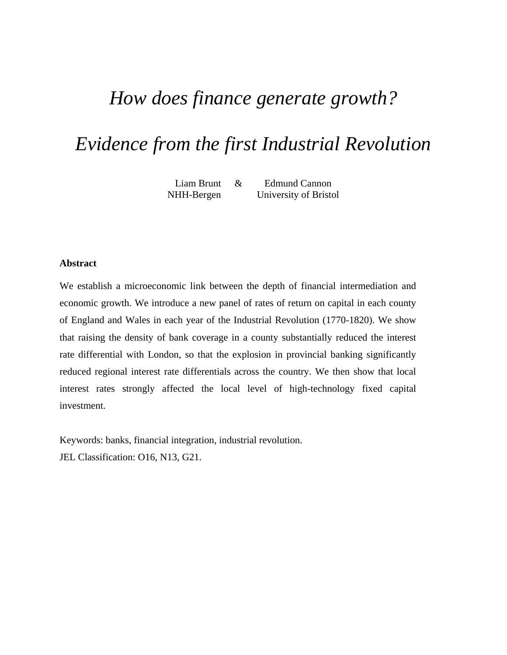# *How does finance generate growth?*

# *Evidence from the first Industrial Revolution*

Liam Brunt & Edmund Cannon NHH-Bergen University of Bristol

#### **Abstract**

We establish a microeconomic link between the depth of financial intermediation and economic growth. We introduce a new panel of rates of return on capital in each county of England and Wales in each year of the Industrial Revolution (1770-1820). We show that raising the density of bank coverage in a county substantially reduced the interest rate differential with London, so that the explosion in provincial banking significantly reduced regional interest rate differentials across the country. We then show that local interest rates strongly affected the local level of high-technology fixed capital investment.

Keywords: banks, financial integration, industrial revolution. JEL Classification: O16, N13, G21.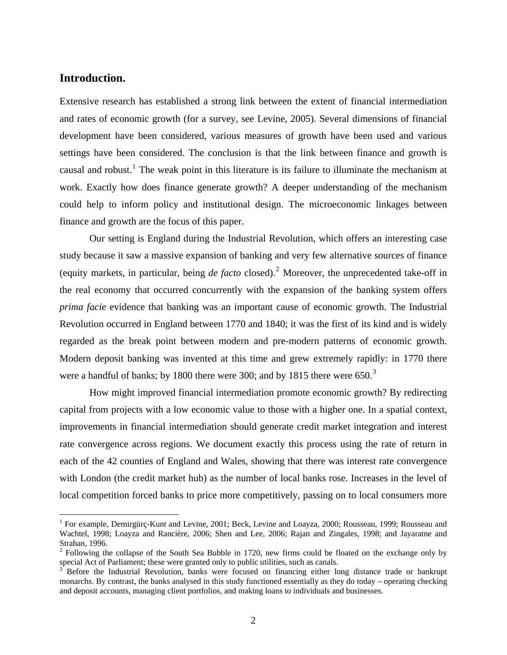## **Introduction.**

 $\overline{a}$ 

Extensive research has established a strong link between the extent of financial intermediation and rates of economic growth (for a survey, see Levine, 2005). Several dimensions of financial development have been considered, various measures of growth have been used and various settings have been considered. The conclusion is that the link between finance and growth is causal and robust.<sup>[1](#page-1-0)</sup> The weak point in this literature is its failure to illuminate the mechanism at work. Exactly how does finance generate growth? A deeper understanding of the mechanism could help to inform policy and institutional design. The microeconomic linkages between finance and growth are the focus of this paper.

Our setting is England during the Industrial Revolution, which offers an interesting case study because it saw a massive expansion of banking and very few alternative sources of finance (equity markets, in particular, being *de facto* closed).<sup>[2](#page-1-1)</sup> Moreover, the unprecedented take-off in the real economy that occurred concurrently with the expansion of the banking system offers *prima facie* evidence that banking was an important cause of economic growth. The Industrial Revolution occurred in England between 1770 and 1840; it was the first of its kind and is widely regarded as the break point between modern and pre-modern patterns of economic growth. Modern deposit banking was invented at this time and grew extremely rapidly: in 1770 there were a handful of banks; by 1800 there were [3](#page-1-2)00; and by 1815 there were  $650.<sup>3</sup>$ 

How might improved financial intermediation promote economic growth? By redirecting capital from projects with a low economic value to those with a higher one. In a spatial context, improvements in financial intermediation should generate credit market integration and interest rate convergence across regions. We document exactly this process using the rate of return in each of the 42 counties of England and Wales, showing that there was interest rate convergence with London (the credit market hub) as the number of local banks rose. Increases in the level of local competition forced banks to price more competitively, passing on to local consumers more

<span id="page-1-0"></span><sup>&</sup>lt;sup>1</sup> For example, Demirgürç-Kunt and Levine, 2001; Beck, Levine and Loayza, 2000; Rousseau, 1999; Rousseau and Wachtel, 1998; Loayza and Rancière, 2006; Shen and Lee, 2006; Rajan and Zingales, 1998; and Jayaratne and Strahan, 1996.

<span id="page-1-1"></span> $2^2$  Following the collapse of the South Sea Bubble in 1720, new firms could be floated on the exchange only by special Act of Parliament; these were granted only to public utilities, such as canals.<br><sup>3</sup> Before the Industrial Revolution, banks were focused on financing either long distance trade or bankrupt

<span id="page-1-2"></span>monarchs. By contrast, the banks analysed in this study functioned essentially as they do today – operating checking and deposit accounts, managing client portfolios, and making loans to individuals and businesses.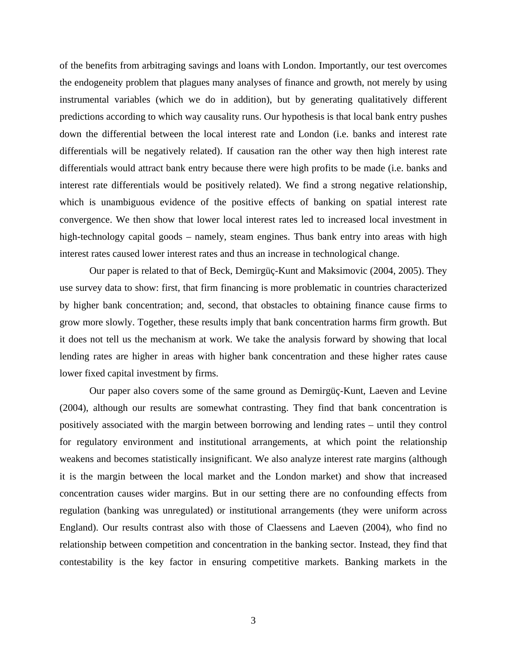of the benefits from arbitraging savings and loans with London. Importantly, our test overcomes the endogeneity problem that plagues many analyses of finance and growth, not merely by using instrumental variables (which we do in addition), but by generating qualitatively different predictions according to which way causality runs. Our hypothesis is that local bank entry pushes down the differential between the local interest rate and London (i.e. banks and interest rate differentials will be negatively related). If causation ran the other way then high interest rate differentials would attract bank entry because there were high profits to be made (i.e. banks and interest rate differentials would be positively related). We find a strong negative relationship, which is unambiguous evidence of the positive effects of banking on spatial interest rate convergence. We then show that lower local interest rates led to increased local investment in high-technology capital goods – namely, steam engines. Thus bank entry into areas with high interest rates caused lower interest rates and thus an increase in technological change.

Our paper is related to that of Beck, Demirgüç-Kunt and Maksimovic (2004, 2005). They use survey data to show: first, that firm financing is more problematic in countries characterized by higher bank concentration; and, second, that obstacles to obtaining finance cause firms to grow more slowly. Together, these results imply that bank concentration harms firm growth. But it does not tell us the mechanism at work. We take the analysis forward by showing that local lending rates are higher in areas with higher bank concentration and these higher rates cause lower fixed capital investment by firms.

Our paper also covers some of the same ground as Demirgüç-Kunt, Laeven and Levine (2004), although our results are somewhat contrasting. They find that bank concentration is positively associated with the margin between borrowing and lending rates – until they control for regulatory environment and institutional arrangements, at which point the relationship weakens and becomes statistically insignificant. We also analyze interest rate margins (although it is the margin between the local market and the London market) and show that increased concentration causes wider margins. But in our setting there are no confounding effects from regulation (banking was unregulated) or institutional arrangements (they were uniform across England). Our results contrast also with those of Claessens and Laeven (2004), who find no relationship between competition and concentration in the banking sector. Instead, they find that contestability is the key factor in ensuring competitive markets. Banking markets in the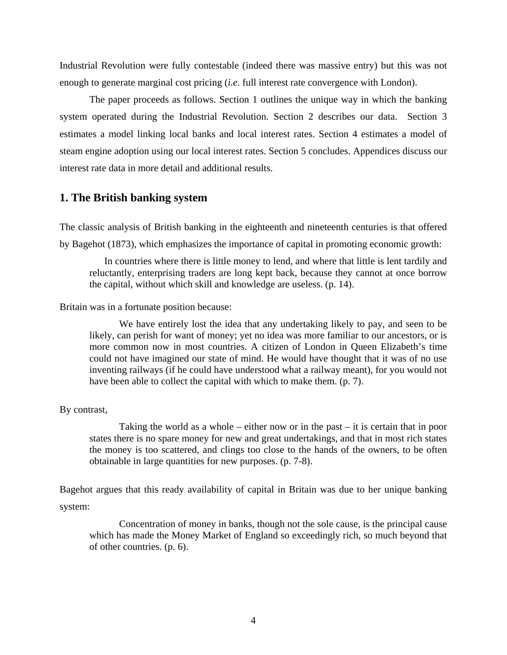Industrial Revolution were fully contestable (indeed there was massive entry) but this was not enough to generate marginal cost pricing (*i.e.* full interest rate convergence with London).

The paper proceeds as follows. Section 1 outlines the unique way in which the banking system operated during the Industrial Revolution. Section 2 describes our data. Section 3 estimates a model linking local banks and local interest rates. Section 4 estimates a model of steam engine adoption using our local interest rates. Section 5 concludes. Appendices discuss our interest rate data in more detail and additional results.

## **1. The British banking system**

The classic analysis of British banking in the eighteenth and nineteenth centuries is that offered by Bagehot (1873), which emphasizes the importance of capital in promoting economic growth:

In countries where there is little money to lend, and where that little is lent tardily and reluctantly, enterprising traders are long kept back, because they cannot at once borrow the capital, without which skill and knowledge are useless. (p. 14).

Britain was in a fortunate position because:

We have entirely lost the idea that any undertaking likely to pay, and seen to be likely, can perish for want of money; yet no idea was more familiar to our ancestors, or is more common now in most countries. A citizen of London in Queen Elizabeth's time could not have imagined our state of mind. He would have thought that it was of no use inventing railways (if he could have understood what a railway meant), for you would not have been able to collect the capital with which to make them. (p. 7).

#### By contrast,

Taking the world as a whole – either now or in the past – it is certain that in poor states there is no spare money for new and great undertakings, and that in most rich states the money is too scattered, and clings too close to the hands of the owners, to be often obtainable in large quantities for new purposes. (p. 7-8).

Bagehot argues that this ready availability of capital in Britain was due to her unique banking system:

Concentration of money in banks, though not the sole cause, is the principal cause which has made the Money Market of England so exceedingly rich, so much beyond that of other countries. (p. 6).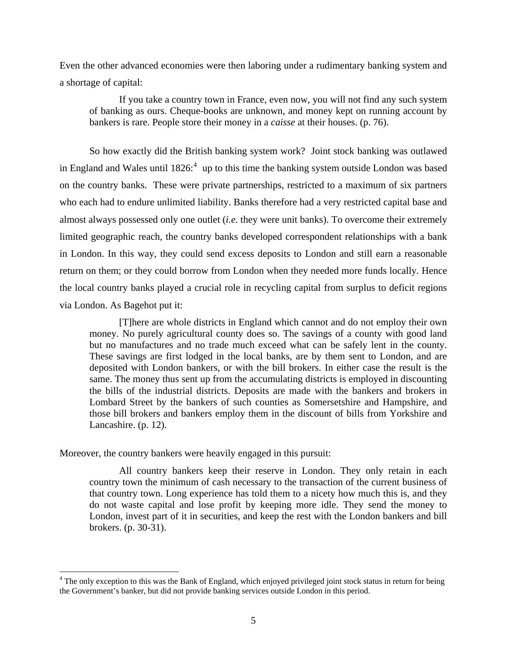Even the other advanced economies were then laboring under a rudimentary banking system and a shortage of capital:

If you take a country town in France, even now, you will not find any such system of banking as ours. Cheque-books are unknown, and money kept on running account by bankers is rare. People store their money in a *caisse* at their houses. (p. 76).

So how exactly did the British banking system work? Joint stock banking was outlawed in England and Wales until  $1826$ <sup>[4](#page-4-0)</sup> up to this time the banking system outside London was based on the country banks. These were private partnerships, restricted to a maximum of six partners who each had to endure unlimited liability. Banks therefore had a very restricted capital base and almost always possessed only one outlet (*i.e.* they were unit banks). To overcome their extremely limited geographic reach, the country banks developed correspondent relationships with a bank in London. In this way, they could send excess deposits to London and still earn a reasonable return on them; or they could borrow from London when they needed more funds locally. Hence the local country banks played a crucial role in recycling capital from surplus to deficit regions via London. As Bagehot put it:

[T]here are whole districts in England which cannot and do not employ their own money. No purely agricultural county does so. The savings of a county with good land but no manufactures and no trade much exceed what can be safely lent in the county. These savings are first lodged in the local banks, are by them sent to London, and are deposited with London bankers, or with the bill brokers. In either case the result is the same. The money thus sent up from the accumulating districts is employed in discounting the bills of the industrial districts. Deposits are made with the bankers and brokers in Lombard Street by the bankers of such counties as Somersetshire and Hampshire, and those bill brokers and bankers employ them in the discount of bills from Yorkshire and Lancashire. (p. 12).

Moreover, the country bankers were heavily engaged in this pursuit:

 $\overline{a}$ 

All country bankers keep their reserve in London. They only retain in each country town the minimum of cash necessary to the transaction of the current business of that country town. Long experience has told them to a nicety how much this is, and they do not waste capital and lose profit by keeping more idle. They send the money to London, invest part of it in securities, and keep the rest with the London bankers and bill brokers. (p. 30-31).

<span id="page-4-0"></span><sup>&</sup>lt;sup>4</sup> The only exception to this was the Bank of England, which enjoyed privileged joint stock status in return for being the Government's banker, but did not provide banking services outside London in this period.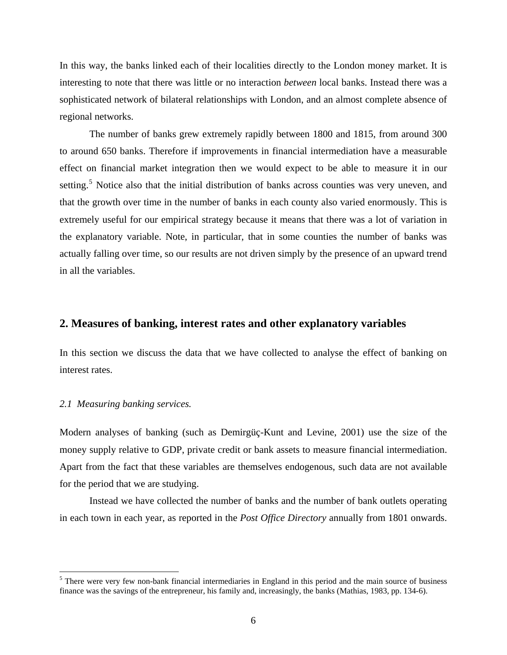In this way, the banks linked each of their localities directly to the London money market. It is interesting to note that there was little or no interaction *between* local banks. Instead there was a sophisticated network of bilateral relationships with London, and an almost complete absence of regional networks.

 The number of banks grew extremely rapidly between 1800 and 1815, from around 300 to around 650 banks. Therefore if improvements in financial intermediation have a measurable effect on financial market integration then we would expect to be able to measure it in our setting.<sup>[5](#page-5-0)</sup> Notice also that the initial distribution of banks across counties was very uneven, and that the growth over time in the number of banks in each county also varied enormously. This is extremely useful for our empirical strategy because it means that there was a lot of variation in the explanatory variable. Note, in particular, that in some counties the number of banks was actually falling over time, so our results are not driven simply by the presence of an upward trend in all the variables.

## **2. Measures of banking, interest rates and other explanatory variables**

In this section we discuss the data that we have collected to analyse the effect of banking on interest rates.

#### *2.1 Measuring banking services.*

 $\overline{a}$ 

Modern analyses of banking (such as Demirgüç-Kunt and Levine, 2001) use the size of the money supply relative to GDP, private credit or bank assets to measure financial intermediation. Apart from the fact that these variables are themselves endogenous, such data are not available for the period that we are studying.

Instead we have collected the number of banks and the number of bank outlets operating in each town in each year, as reported in the *Post Office Directory* annually from 1801 onwards.

<span id="page-5-0"></span><sup>&</sup>lt;sup>5</sup> There were very few non-bank financial intermediaries in England in this period and the main source of business finance was the savings of the entrepreneur, his family and, increasingly, the banks (Mathias, 1983, pp. 134-6).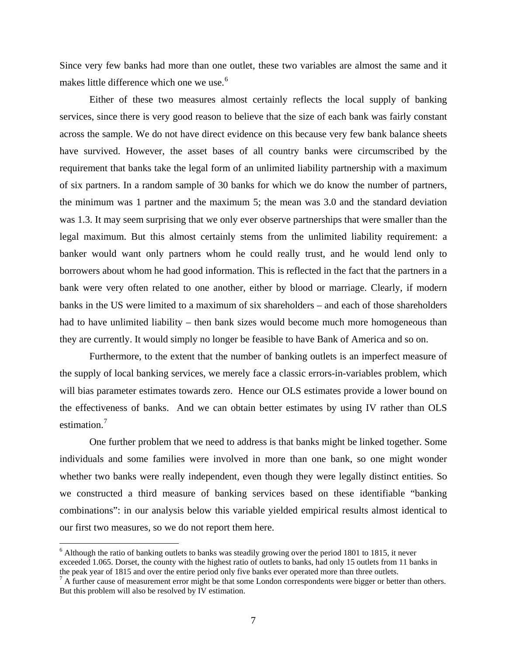Since very few banks had more than one outlet, these two variables are almost the same and it makes little difference which one we use.<sup>[6](#page-6-0)</sup>

Either of these two measures almost certainly reflects the local supply of banking services, since there is very good reason to believe that the size of each bank was fairly constant across the sample. We do not have direct evidence on this because very few bank balance sheets have survived. However, the asset bases of all country banks were circumscribed by the requirement that banks take the legal form of an unlimited liability partnership with a maximum of six partners. In a random sample of 30 banks for which we do know the number of partners, the minimum was 1 partner and the maximum 5; the mean was 3.0 and the standard deviation was 1.3. It may seem surprising that we only ever observe partnerships that were smaller than the legal maximum. But this almost certainly stems from the unlimited liability requirement: a banker would want only partners whom he could really trust, and he would lend only to borrowers about whom he had good information. This is reflected in the fact that the partners in a bank were very often related to one another, either by blood or marriage. Clearly, if modern banks in the US were limited to a maximum of six shareholders – and each of those shareholders had to have unlimited liability – then bank sizes would become much more homogeneous than they are currently. It would simply no longer be feasible to have Bank of America and so on.

Furthermore, to the extent that the number of banking outlets is an imperfect measure of the supply of local banking services, we merely face a classic errors-in-variables problem, which will bias parameter estimates towards zero. Hence our OLS estimates provide a lower bound on the effectiveness of banks. And we can obtain better estimates by using IV rather than OLS estimation.<sup>[7](#page-6-1)</sup>

One further problem that we need to address is that banks might be linked together. Some individuals and some families were involved in more than one bank, so one might wonder whether two banks were really independent, even though they were legally distinct entities. So we constructed a third measure of banking services based on these identifiable "banking combinations": in our analysis below this variable yielded empirical results almost identical to our first two measures, so we do not report them here.

 $\overline{a}$ 

<span id="page-6-0"></span><sup>&</sup>lt;sup>6</sup> Although the ratio of banking outlets to banks was steadily growing over the period 1801 to 1815, it never exceeded 1.065. Dorset, the county with the highest ratio of outlets to banks, had only 15 outlets from 11 banks in the peak year of 1815 and over the entire period only five banks ever operated more than three outlets.

<span id="page-6-1"></span> $<sup>7</sup>$  A further cause of measurement error might be that some London correspondents were bigger or better than others.</sup> But this problem will also be resolved by IV estimation.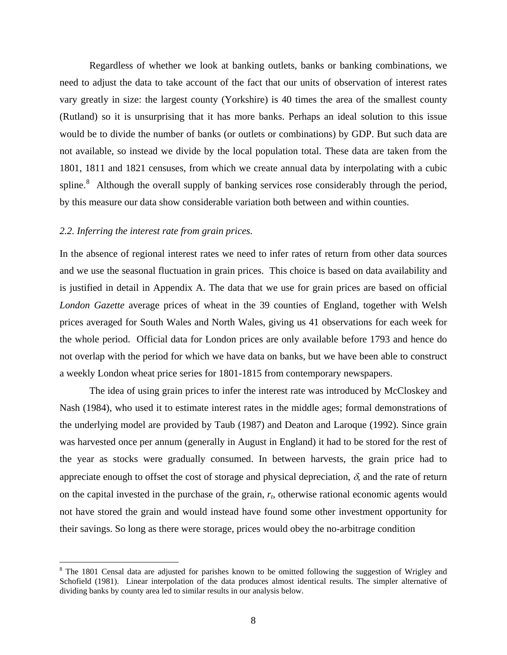Regardless of whether we look at banking outlets, banks or banking combinations, we need to adjust the data to take account of the fact that our units of observation of interest rates vary greatly in size: the largest county (Yorkshire) is 40 times the area of the smallest county (Rutland) so it is unsurprising that it has more banks. Perhaps an ideal solution to this issue would be to divide the number of banks (or outlets or combinations) by GDP. But such data are not available, so instead we divide by the local population total. These data are taken from the 1801, 1811 and 1821 censuses, from which we create annual data by interpolating with a cubic spline.<sup>[8](#page-7-0)</sup> Although the overall supply of banking services rose considerably through the period, by this measure our data show considerable variation both between and within counties.

#### *2.2. Inferring the interest rate from grain prices.*

 $\overline{a}$ 

In the absence of regional interest rates we need to infer rates of return from other data sources and we use the seasonal fluctuation in grain prices. This choice is based on data availability and is justified in detail in Appendix A. The data that we use for grain prices are based on official *London Gazette* average prices of wheat in the 39 counties of England, together with Welsh prices averaged for South Wales and North Wales, giving us 41 observations for each week for the whole period. Official data for London prices are only available before 1793 and hence do not overlap with the period for which we have data on banks, but we have been able to construct a weekly London wheat price series for 1801-1815 from contemporary newspapers.

 The idea of using grain prices to infer the interest rate was introduced by McCloskey and Nash (1984), who used it to estimate interest rates in the middle ages; formal demonstrations of the underlying model are provided by Taub (1987) and Deaton and Laroque (1992). Since grain was harvested once per annum (generally in August in England) it had to be stored for the rest of the year as stocks were gradually consumed. In between harvests, the grain price had to appreciate enough to offset the cost of storage and physical depreciation,  $\delta$ , and the rate of return on the capital invested in the purchase of the grain, *rt*, otherwise rational economic agents would not have stored the grain and would instead have found some other investment opportunity for their savings. So long as there were storage, prices would obey the no-arbitrage condition

<span id="page-7-0"></span><sup>&</sup>lt;sup>8</sup> The 1801 Censal data are adjusted for parishes known to be omitted following the suggestion of Wrigley and Schofield (1981). Linear interpolation of the data produces almost identical results. The simpler alternative of dividing banks by county area led to similar results in our analysis below.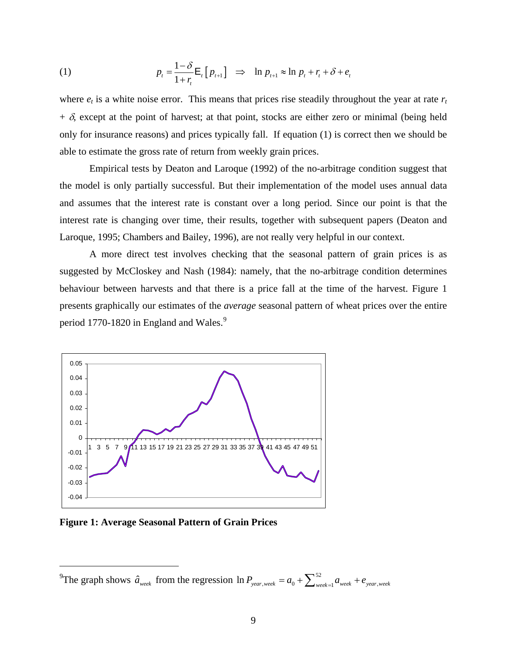(1) 
$$
p_t = \frac{1-\delta}{1+r_t} \mathsf{E}_t[p_{t+1}] \Rightarrow \ln p_{t+1} \approx \ln p_t + r_t + \delta + e_t
$$

where  $e_t$  is a white noise error. This means that prices rise steadily throughout the year at rate  $r_t$  $+ \delta$ , except at the point of harvest; at that point, stocks are either zero or minimal (being held only for insurance reasons) and prices typically fall. If equation (1) is correct then we should be able to estimate the gross rate of return from weekly grain prices.

 Empirical tests by Deaton and Laroque (1992) of the no-arbitrage condition suggest that the model is only partially successful. But their implementation of the model uses annual data and assumes that the interest rate is constant over a long period. Since our point is that the interest rate is changing over time, their results, together with subsequent papers (Deaton and Laroque, 1995; Chambers and Bailey, 1996), are not really very helpful in our context.

 A more direct test involves checking that the seasonal pattern of grain prices is as suggested by McCloskey and Nash (1984): namely, that the no-arbitrage condition determines behaviour between harvests and that there is a price fall at the time of the harvest. Figure 1 presents graphically our estimates of the *average* seasonal pattern of wheat prices over the entire period 1770-1820 in England and Wales.<sup>[9](#page-8-0)</sup>



**Figure 1: Average Seasonal Pattern of Grain Prices** 

 $\overline{a}$ 

<span id="page-8-0"></span><sup>&</sup>lt;sup>9</sup>The graph shows  $\hat{a}_{week}$  from the regression  $\ln P_{year, week} = a_0 + \sum_{we}^{52} a_0$  $\ln P_{\text{year, week}} = a_0 + \sum_{\text{week}=1}^{52} a_{\text{week}} + e_{\text{year, week}}$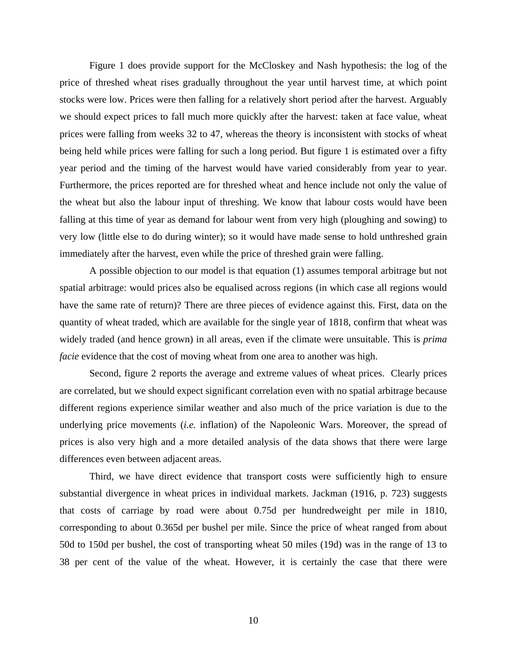Figure 1 does provide support for the McCloskey and Nash hypothesis: the log of the price of threshed wheat rises gradually throughout the year until harvest time, at which point stocks were low. Prices were then falling for a relatively short period after the harvest. Arguably we should expect prices to fall much more quickly after the harvest: taken at face value, wheat prices were falling from weeks 32 to 47, whereas the theory is inconsistent with stocks of wheat being held while prices were falling for such a long period. But figure 1 is estimated over a fifty year period and the timing of the harvest would have varied considerably from year to year. Furthermore, the prices reported are for threshed wheat and hence include not only the value of the wheat but also the labour input of threshing. We know that labour costs would have been falling at this time of year as demand for labour went from very high (ploughing and sowing) to very low (little else to do during winter); so it would have made sense to hold unthreshed grain immediately after the harvest, even while the price of threshed grain were falling.

A possible objection to our model is that equation (1) assumes temporal arbitrage but not spatial arbitrage: would prices also be equalised across regions (in which case all regions would have the same rate of return)? There are three pieces of evidence against this. First, data on the quantity of wheat traded, which are available for the single year of 1818, confirm that wheat was widely traded (and hence grown) in all areas, even if the climate were unsuitable. This is *prima facie* evidence that the cost of moving wheat from one area to another was high.

Second, figure 2 reports the average and extreme values of wheat prices. Clearly prices are correlated, but we should expect significant correlation even with no spatial arbitrage because different regions experience similar weather and also much of the price variation is due to the underlying price movements (*i.e.* inflation) of the Napoleonic Wars. Moreover, the spread of prices is also very high and a more detailed analysis of the data shows that there were large differences even between adjacent areas.

Third, we have direct evidence that transport costs were sufficiently high to ensure substantial divergence in wheat prices in individual markets. Jackman (1916, p. 723) suggests that costs of carriage by road were about 0.75d per hundredweight per mile in 1810, corresponding to about 0.365d per bushel per mile. Since the price of wheat ranged from about 50d to 150d per bushel, the cost of transporting wheat 50 miles (19d) was in the range of 13 to 38 per cent of the value of the wheat. However, it is certainly the case that there were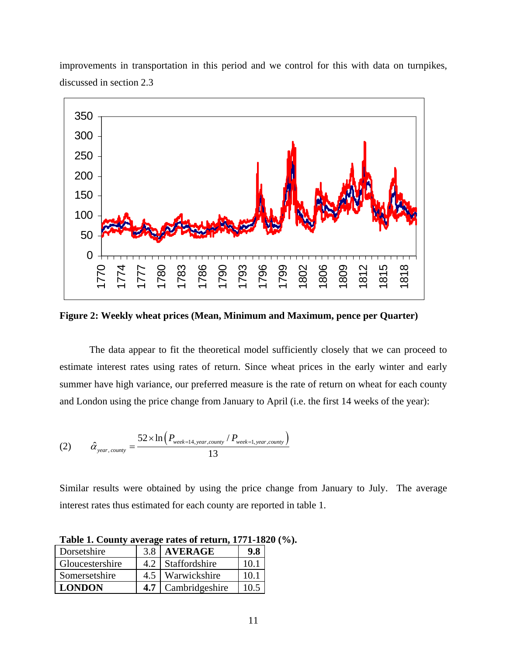

improvements in transportation in this period and we control for this with data on turnpikes, discussed in section 2.3

**Figure 2: Weekly wheat prices (Mean, Minimum and Maximum, pence per Quarter)** 

The data appear to fit the theoretical model sufficiently closely that we can proceed to estimate interest rates using rates of return. Since wheat prices in the early winter and early summer have high variance, our preferred measure is the rate of return on wheat for each county and London using the price change from January to April (i.e. the first 14 weeks of the year):

$$
(2) \qquad \hat{\alpha}_{year, \, country} = \frac{52 \times \ln \left( P_{week=14, \, year, \, country} \, / \, P_{week=1, \, year, \, country} \right)}{13}
$$

Similar results were obtained by using the price change from January to July. The average interest rates thus estimated for each county are reported in table 1.

| Dorsetshire     | 3.8 | <b>AVERAGE</b> | 9.8  |
|-----------------|-----|----------------|------|
| Gloucestershire | 4.2 | Staffordshire  | 10.1 |
| Somersetshire   | 4.5 | Warwickshire   | 10.1 |
| <b>LONDON</b>   | 4.7 | Cambridgeshire | 10.5 |

**Table 1. County average rates of return, 1771-1820 (%).**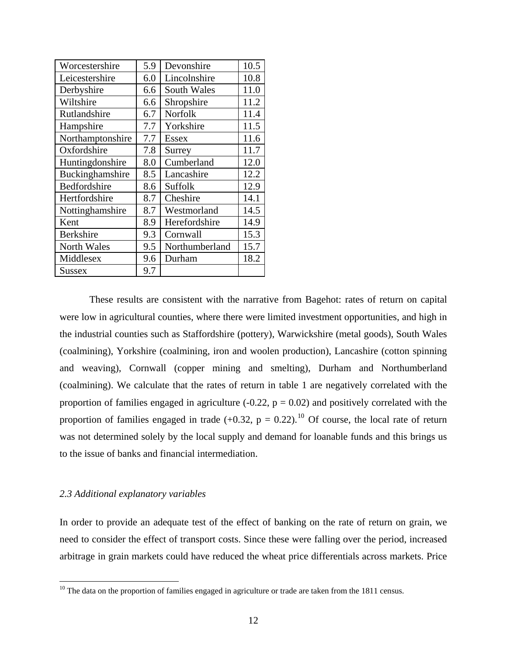| Worcestershire     | 5.9 | Devonshire         | 10.5 |
|--------------------|-----|--------------------|------|
| Leicestershire     | 6.0 | Lincolnshire       | 10.8 |
| Derbyshire         | 6.6 | <b>South Wales</b> | 11.0 |
| Wiltshire          | 6.6 | Shropshire         | 11.2 |
| Rutlandshire       | 6.7 | Norfolk            | 11.4 |
| Hampshire          | 7.7 | Yorkshire          | 11.5 |
| Northamptonshire   | 7.7 | Essex              | 11.6 |
| Oxfordshire        | 7.8 | Surrey             | 11.7 |
| Huntingdonshire    | 8.0 | Cumberland         | 12.0 |
| Buckinghamshire    | 8.5 | Lancashire         | 12.2 |
| Bedfordshire       | 8.6 | Suffolk            | 12.9 |
| Hertfordshire      | 8.7 | Cheshire           | 14.1 |
| Nottinghamshire    | 8.7 | Westmorland        | 14.5 |
| Kent               | 8.9 | Herefordshire      | 14.9 |
| <b>Berkshire</b>   | 9.3 | Cornwall           | 15.3 |
| <b>North Wales</b> | 9.5 | Northumberland     | 15.7 |
| Middlesex          | 9.6 | Durham             | 18.2 |
| <b>Sussex</b>      | 9.7 |                    |      |

These results are consistent with the narrative from Bagehot: rates of return on capital were low in agricultural counties, where there were limited investment opportunities, and high in the industrial counties such as Staffordshire (pottery), Warwickshire (metal goods), South Wales (coalmining), Yorkshire (coalmining, iron and woolen production), Lancashire (cotton spinning and weaving), Cornwall (copper mining and smelting), Durham and Northumberland (coalmining). We calculate that the rates of return in table 1 are negatively correlated with the proportion of families engaged in agriculture (-0.22,  $p = 0.02$ ) and positively correlated with the proportion of families engaged in trade  $(+0.32, p = 0.22).$ <sup>[10](#page-11-0)</sup> Of course, the local rate of return was not determined solely by the local supply and demand for loanable funds and this brings us to the issue of banks and financial intermediation.

#### *2.3 Additional explanatory variables*

 $\overline{a}$ 

In order to provide an adequate test of the effect of banking on the rate of return on grain, we need to consider the effect of transport costs. Since these were falling over the period, increased arbitrage in grain markets could have reduced the wheat price differentials across markets. Price

<span id="page-11-0"></span> $10$  The data on the proportion of families engaged in agriculture or trade are taken from the 1811 census.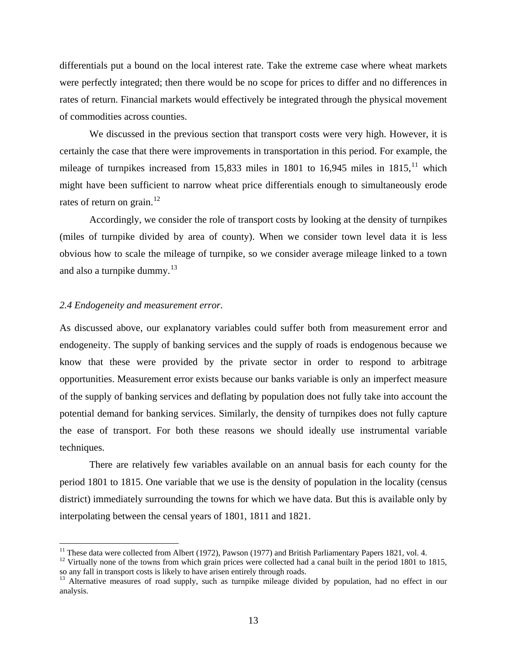differentials put a bound on the local interest rate. Take the extreme case where wheat markets were perfectly integrated; then there would be no scope for prices to differ and no differences in rates of return. Financial markets would effectively be integrated through the physical movement of commodities across counties.

We discussed in the previous section that transport costs were very high. However, it is certainly the case that there were improvements in transportation in this period. For example, the mileage of turnpikes increased from 15,833 miles in 1801 to 16,945 miles in  $1815$ ,<sup> $11$ </sup> which might have been sufficient to narrow wheat price differentials enough to simultaneously erode rates of return on grain.<sup>[12](#page-12-1)</sup>

Accordingly, we consider the role of transport costs by looking at the density of turnpikes (miles of turnpike divided by area of county). When we consider town level data it is less obvious how to scale the mileage of turnpike, so we consider average mileage linked to a town and also a turnpike dummy. $13$ 

#### *2.4 Endogeneity and measurement error.*

 $\overline{a}$ 

As discussed above, our explanatory variables could suffer both from measurement error and endogeneity. The supply of banking services and the supply of roads is endogenous because we know that these were provided by the private sector in order to respond to arbitrage opportunities. Measurement error exists because our banks variable is only an imperfect measure of the supply of banking services and deflating by population does not fully take into account the potential demand for banking services. Similarly, the density of turnpikes does not fully capture the ease of transport. For both these reasons we should ideally use instrumental variable techniques.

There are relatively few variables available on an annual basis for each county for the period 1801 to 1815. One variable that we use is the density of population in the locality (census district) immediately surrounding the towns for which we have data. But this is available only by interpolating between the censal years of 1801, 1811 and 1821.

<span id="page-12-0"></span><sup>&</sup>lt;sup>11</sup> These data were collected from Albert (1972), Pawson (1977) and British Parliamentary Papers 1821, vol. 4.<br><sup>12</sup> Virtually none of the towns from which grain prices were collected had a canal built in the period 1801

<span id="page-12-1"></span>so any fall in transport costs is likely to have arisen entirely through roads.

<span id="page-12-2"></span><sup>&</sup>lt;sup>13</sup> Alternative measures of road supply, such as turnpike mileage divided by population, had no effect in our analysis.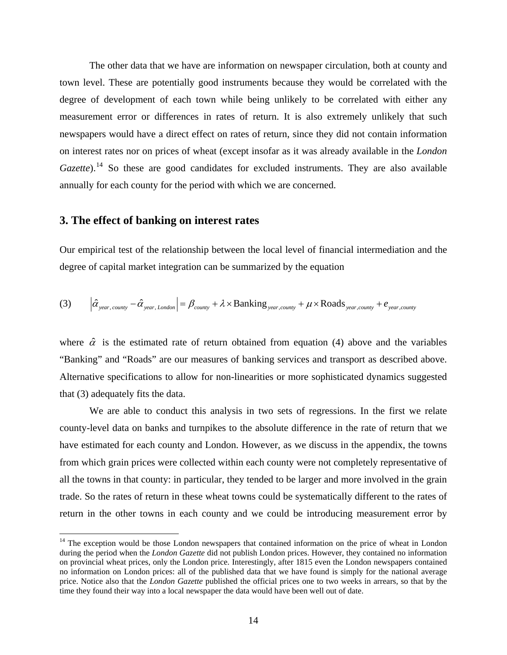The other data that we have are information on newspaper circulation, both at county and town level. These are potentially good instruments because they would be correlated with the degree of development of each town while being unlikely to be correlated with either any measurement error or differences in rates of return. It is also extremely unlikely that such newspapers would have a direct effect on rates of return, since they did not contain information on interest rates nor on prices of wheat (except insofar as it was already available in the *London Gazette*).<sup>[14](#page-13-0)</sup> So these are good candidates for excluded instruments. They are also available annually for each county for the period with which we are concerned.

#### **3. The effect of banking on interest rates**

 $\overline{a}$ 

Our empirical test of the relationship between the local level of financial intermediation and the degree of capital market integration can be summarized by the equation

(3) 
$$
\left|\hat{\alpha}_{year, \text{county}} - \hat{\alpha}_{year, \text{London}}\right| = \beta_{\text{county}} + \lambda \times \text{Banking}_{\text{year, country}} + \mu \times \text{Roads}_{\text{year, country}} + e_{\text{year, country}}
$$

where  $\hat{\alpha}$  is the estimated rate of return obtained from equation (4) above and the variables "Banking" and "Roads" are our measures of banking services and transport as described above. Alternative specifications to allow for non-linearities or more sophisticated dynamics suggested that (3) adequately fits the data.

 We are able to conduct this analysis in two sets of regressions. In the first we relate county-level data on banks and turnpikes to the absolute difference in the rate of return that we have estimated for each county and London. However, as we discuss in the appendix, the towns from which grain prices were collected within each county were not completely representative of all the towns in that county: in particular, they tended to be larger and more involved in the grain trade. So the rates of return in these wheat towns could be systematically different to the rates of return in the other towns in each county and we could be introducing measurement error by

<span id="page-13-0"></span><sup>&</sup>lt;sup>14</sup> The exception would be those London newspapers that contained information on the price of wheat in London during the period when the *London Gazette* did not publish London prices. However, they contained no information on provincial wheat prices, only the London price. Interestingly, after 1815 even the London newspapers contained no information on London prices: all of the published data that we have found is simply for the national average price. Notice also that the *London Gazette* published the official prices one to two weeks in arrears, so that by the time they found their way into a local newspaper the data would have been well out of date.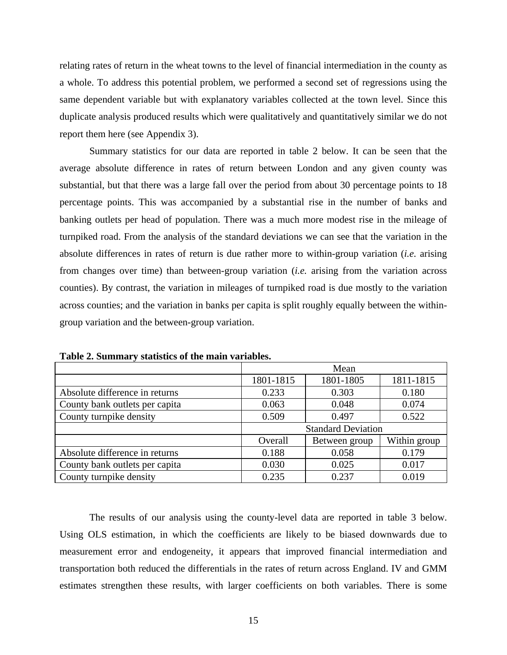relating rates of return in the wheat towns to the level of financial intermediation in the county as a whole. To address this potential problem, we performed a second set of regressions using the same dependent variable but with explanatory variables collected at the town level. Since this duplicate analysis produced results which were qualitatively and quantitatively similar we do not report them here (see Appendix 3).

Summary statistics for our data are reported in table 2 below. It can be seen that the average absolute difference in rates of return between London and any given county was substantial, but that there was a large fall over the period from about 30 percentage points to 18 percentage points. This was accompanied by a substantial rise in the number of banks and banking outlets per head of population. There was a much more modest rise in the mileage of turnpiked road. From the analysis of the standard deviations we can see that the variation in the absolute differences in rates of return is due rather more to within-group variation (*i.e.* arising from changes over time) than between-group variation (*i.e.* arising from the variation across counties). By contrast, the variation in mileages of turnpiked road is due mostly to the variation across counties; and the variation in banks per capita is split roughly equally between the withingroup variation and the between-group variation.

|                                | Mean                      |               |              |  |
|--------------------------------|---------------------------|---------------|--------------|--|
|                                | 1801-1815                 | 1801-1805     | 1811-1815    |  |
| Absolute difference in returns | 0.233                     | 0.303         | 0.180        |  |
| County bank outlets per capita | 0.063                     | 0.048         | 0.074        |  |
| County turnpike density        | 0.509                     | 0.497         | 0.522        |  |
|                                | <b>Standard Deviation</b> |               |              |  |
|                                | Overall                   | Between group | Within group |  |
| Absolute difference in returns | 0.188                     | 0.058         | 0.179        |  |
| County bank outlets per capita | 0.030                     | 0.025         | 0.017        |  |
| County turnpike density        | 0.235                     | 0.237         | 0.019        |  |

**Table 2. Summary statistics of the main variables.** 

The results of our analysis using the county-level data are reported in table 3 below. Using OLS estimation, in which the coefficients are likely to be biased downwards due to measurement error and endogeneity, it appears that improved financial intermediation and transportation both reduced the differentials in the rates of return across England. IV and GMM estimates strengthen these results, with larger coefficients on both variables. There is some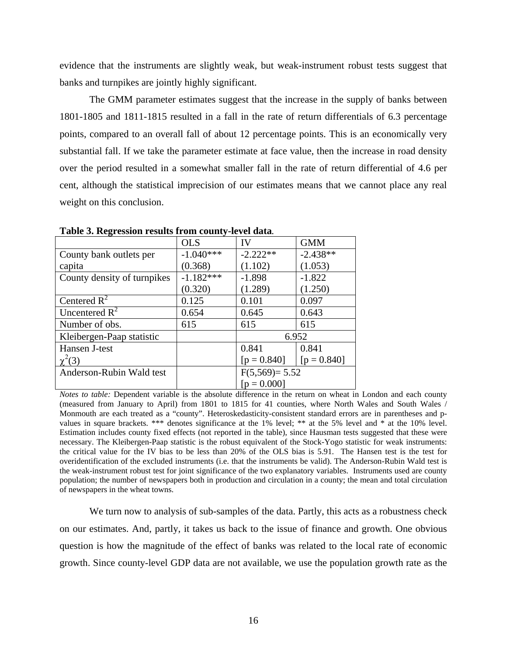evidence that the instruments are slightly weak, but weak-instrument robust tests suggest that banks and turnpikes are jointly highly significant.

The GMM parameter estimates suggest that the increase in the supply of banks between 1801-1805 and 1811-1815 resulted in a fall in the rate of return differentials of 6.3 percentage points, compared to an overall fall of about 12 percentage points. This is an economically very substantial fall. If we take the parameter estimate at face value, then the increase in road density over the period resulted in a somewhat smaller fall in the rate of return differential of 4.6 per cent, although the statistical imprecision of our estimates means that we cannot place any real weight on this conclusion.

| o                           |             |                 |               |  |
|-----------------------------|-------------|-----------------|---------------|--|
|                             | <b>OLS</b>  | IV              | <b>GMM</b>    |  |
| County bank outlets per     | $-1.040***$ | $-2.222**$      | $-2.438**$    |  |
| capita                      | (0.368)     | (1.102)         | (1.053)       |  |
| County density of turnpikes | $-1.182***$ | $-1.898$        | $-1.822$      |  |
|                             | (0.320)     | (1.289)         | (1.250)       |  |
| Centered $R^2$              | 0.125       | 0.101           | 0.097         |  |
| Uncentered $R^2$            | 0.654       | 0.645           | 0.643         |  |
| Number of obs.              | 615         | 615             | 615           |  |
| Kleibergen-Paap statistic   |             |                 | 6.952         |  |
| Hansen J-test               |             | 0.841           | 0.841         |  |
| $\chi^2(3)$                 |             | $[p = 0.840]$   | $[p = 0.840]$ |  |
| Anderson-Rubin Wald test    |             | $F(5,569)=5.52$ |               |  |
|                             |             | $[p = 0.000]$   |               |  |

**Table 3. Regression results from county-level data***.* 

*Notes to table:* Dependent variable is the absolute difference in the return on wheat in London and each county (measured from January to April) from 1801 to 1815 for 41 counties, where North Wales and South Wales / Monmouth are each treated as a "county". Heteroskedasticity-consistent standard errors are in parentheses and pvalues in square brackets. \*\*\* denotes significance at the 1% level; \*\* at the 5% level and \* at the 10% level. Estimation includes county fixed effects (not reported in the table), since Hausman tests suggested that these were necessary. The Kleibergen-Paap statistic is the robust equivalent of the Stock-Yogo statistic for weak instruments: the critical value for the IV bias to be less than 20% of the OLS bias is 5.91. The Hansen test is the test for overidentification of the excluded instruments (i.e. that the instruments be valid). The Anderson-Rubin Wald test is the weak-instrument robust test for joint significance of the two explanatory variables. Instruments used are county population; the number of newspapers both in production and circulation in a county; the mean and total circulation of newspapers in the wheat towns.

 We turn now to analysis of sub-samples of the data. Partly, this acts as a robustness check on our estimates. And, partly, it takes us back to the issue of finance and growth. One obvious question is how the magnitude of the effect of banks was related to the local rate of economic growth. Since county-level GDP data are not available, we use the population growth rate as the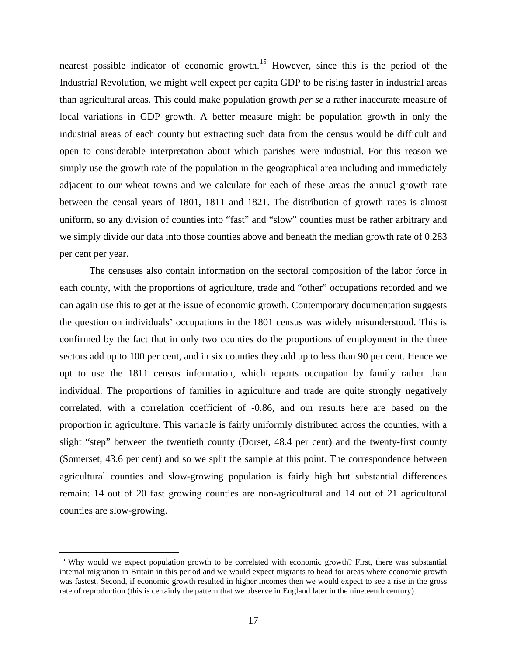nearest possible indicator of economic growth.<sup>[15](#page-16-0)</sup> However, since this is the period of the Industrial Revolution, we might well expect per capita GDP to be rising faster in industrial areas than agricultural areas. This could make population growth *per se* a rather inaccurate measure of local variations in GDP growth. A better measure might be population growth in only the industrial areas of each county but extracting such data from the census would be difficult and open to considerable interpretation about which parishes were industrial. For this reason we simply use the growth rate of the population in the geographical area including and immediately adjacent to our wheat towns and we calculate for each of these areas the annual growth rate between the censal years of 1801, 1811 and 1821. The distribution of growth rates is almost uniform, so any division of counties into "fast" and "slow" counties must be rather arbitrary and we simply divide our data into those counties above and beneath the median growth rate of 0.283 per cent per year.

The censuses also contain information on the sectoral composition of the labor force in each county, with the proportions of agriculture, trade and "other" occupations recorded and we can again use this to get at the issue of economic growth. Contemporary documentation suggests the question on individuals' occupations in the 1801 census was widely misunderstood. This is confirmed by the fact that in only two counties do the proportions of employment in the three sectors add up to 100 per cent, and in six counties they add up to less than 90 per cent. Hence we opt to use the 1811 census information, which reports occupation by family rather than individual. The proportions of families in agriculture and trade are quite strongly negatively correlated, with a correlation coefficient of -0.86, and our results here are based on the proportion in agriculture. This variable is fairly uniformly distributed across the counties, with a slight "step" between the twentieth county (Dorset, 48.4 per cent) and the twenty-first county (Somerset, 43.6 per cent) and so we split the sample at this point. The correspondence between agricultural counties and slow-growing population is fairly high but substantial differences remain: 14 out of 20 fast growing counties are non-agricultural and 14 out of 21 agricultural counties are slow-growing.

 $\overline{a}$ 

<span id="page-16-0"></span><sup>&</sup>lt;sup>15</sup> Why would we expect population growth to be correlated with economic growth? First, there was substantial internal migration in Britain in this period and we would expect migrants to head for areas where economic growth was fastest. Second, if economic growth resulted in higher incomes then we would expect to see a rise in the gross rate of reproduction (this is certainly the pattern that we observe in England later in the nineteenth century).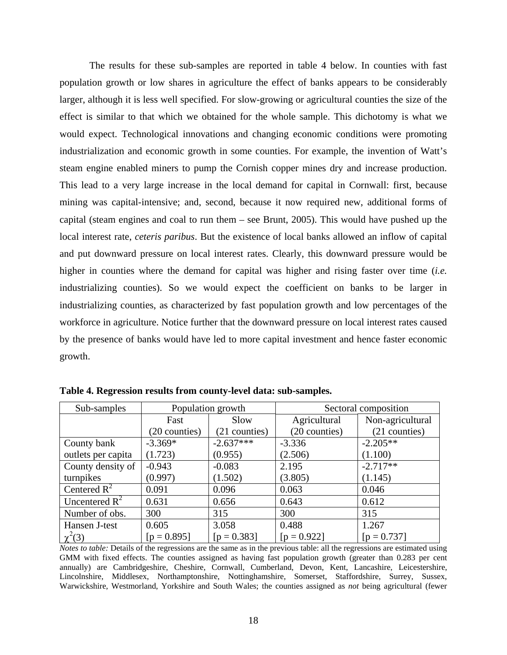The results for these sub-samples are reported in table 4 below. In counties with fast population growth or low shares in agriculture the effect of banks appears to be considerably larger, although it is less well specified. For slow-growing or agricultural counties the size of the effect is similar to that which we obtained for the whole sample. This dichotomy is what we would expect. Technological innovations and changing economic conditions were promoting industrialization and economic growth in some counties. For example, the invention of Watt's steam engine enabled miners to pump the Cornish copper mines dry and increase production. This lead to a very large increase in the local demand for capital in Cornwall: first, because mining was capital-intensive; and, second, because it now required new, additional forms of capital (steam engines and coal to run them – see Brunt, 2005). This would have pushed up the local interest rate, *ceteris paribus*. But the existence of local banks allowed an inflow of capital and put downward pressure on local interest rates. Clearly, this downward pressure would be higher in counties where the demand for capital was higher and rising faster over time (*i.e.* industrializing counties). So we would expect the coefficient on banks to be larger in industrializing counties, as characterized by fast population growth and low percentages of the workforce in agriculture. Notice further that the downward pressure on local interest rates caused by the presence of banks would have led to more capital investment and hence faster economic growth.

| Sub-samples        | Population growth |               | Sectoral composition |                  |
|--------------------|-------------------|---------------|----------------------|------------------|
|                    | Fast              | Slow          | Agricultural         | Non-agricultural |
|                    | (20 counties)     | (21 counties) | (20 counties)        | (21 counties)    |
| County bank        | $-3.369*$         | $-2.637***$   | $-3.336$             | $-2.205**$       |
| outlets per capita | (1.723)           | (0.955)       | (2.506)              | (1.100)          |
| County density of  | $-0.943$          | $-0.083$      | 2.195                | $-2.717**$       |
| turnpikes          | (0.997)           | (1.502)       | (3.805)              | (1.145)          |
| Centered $R^2$     | 0.091             | 0.096         | 0.063                | 0.046            |
| Uncentered $R^2$   | 0.631             | 0.656         | 0.643                | 0.612            |
| Number of obs.     | 300               | 315           | 300                  | 315              |
| Hansen J-test      | 0.605             | 3.058         | 0.488                | 1.267            |
| $\chi^2(3)$        | $[p = 0.895]$     | $[p = 0.383]$ | $[p = 0.922]$        | $[p = 0.737]$    |

**Table 4. Regression results from county-level data: sub-samples.** 

*Notes to table:* Details of the regressions are the same as in the previous table: all the regressions are estimated using GMM with fixed effects. The counties assigned as having fast population growth (greater than 0.283 per cent annually) are Cambridgeshire, Cheshire, Cornwall, Cumberland, Devon, Kent, Lancashire, Leicestershire, Lincolnshire, Middlesex, Northamptonshire, Nottinghamshire, Somerset, Staffordshire, Surrey, Sussex, Warwickshire, Westmorland, Yorkshire and South Wales; the counties assigned as *not* being agricultural (fewer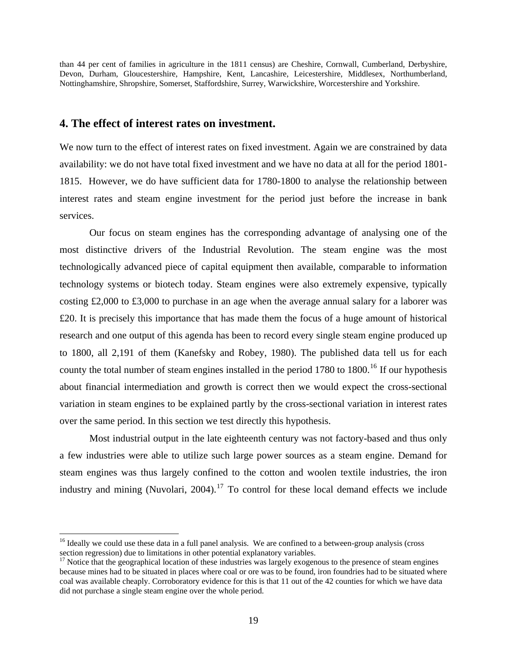than 44 per cent of families in agriculture in the 1811 census) are Cheshire, Cornwall, Cumberland, Derbyshire, Devon, Durham, Gloucestershire, Hampshire, Kent, Lancashire, Leicestershire, Middlesex, Northumberland, Nottinghamshire, Shropshire, Somerset, Staffordshire, Surrey, Warwickshire, Worcestershire and Yorkshire.

## **4. The effect of interest rates on investment.**

We now turn to the effect of interest rates on fixed investment. Again we are constrained by data availability: we do not have total fixed investment and we have no data at all for the period 1801- 1815. However, we do have sufficient data for 1780-1800 to analyse the relationship between interest rates and steam engine investment for the period just before the increase in bank services.

 Our focus on steam engines has the corresponding advantage of analysing one of the most distinctive drivers of the Industrial Revolution. The steam engine was the most technologically advanced piece of capital equipment then available, comparable to information technology systems or biotech today. Steam engines were also extremely expensive, typically costing  $\text{\pounds}2,000$  to  $\text{\pounds}3,000$  to purchase in an age when the average annual salary for a laborer was £20. It is precisely this importance that has made them the focus of a huge amount of historical research and one output of this agenda has been to record every single steam engine produced up to 1800, all 2,191 of them (Kanefsky and Robey, 1980). The published data tell us for each county the total number of steam engines installed in the period 1780 to 1800.<sup>[16](#page-18-0)</sup> If our hypothesis about financial intermediation and growth is correct then we would expect the cross-sectional variation in steam engines to be explained partly by the cross-sectional variation in interest rates over the same period. In this section we test directly this hypothesis.

 Most industrial output in the late eighteenth century was not factory-based and thus only a few industries were able to utilize such large power sources as a steam engine. Demand for steam engines was thus largely confined to the cotton and woolen textile industries, the iron industry and mining (Nuvolari,  $2004$ ).<sup>[17](#page-18-1)</sup> To control for these local demand effects we include

 $\overline{a}$ 

<span id="page-18-0"></span><sup>&</sup>lt;sup>16</sup> Ideally we could use these data in a full panel analysis. We are confined to a between-group analysis (cross section regression) due to limitations in other potential explanatory variables.

<span id="page-18-1"></span><sup>&</sup>lt;sup>17</sup> Notice that the geographical location of these industries was largely exogenous to the presence of steam engines because mines had to be situated in places where coal or ore was to be found, iron foundries had to be situated where coal was available cheaply. Corroboratory evidence for this is that 11 out of the 42 counties for which we have data did not purchase a single steam engine over the whole period.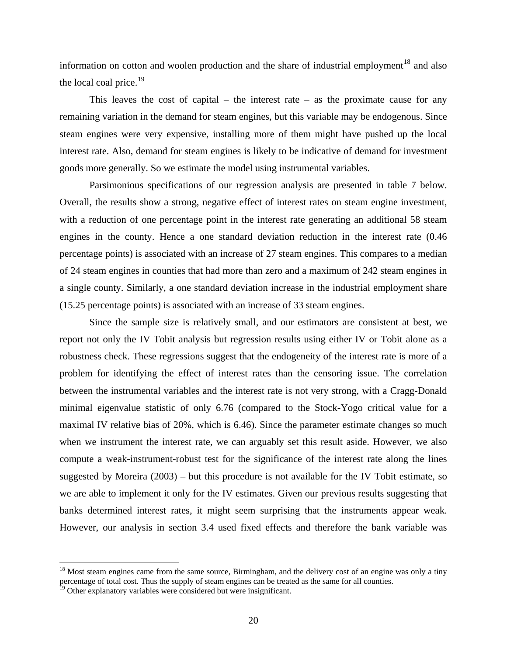information on cotton and woolen production and the share of industrial employment<sup>[18](#page-19-0)</sup> and also the local coal price.<sup>[19](#page-19-1)</sup>

This leaves the cost of capital – the interest rate – as the proximate cause for any remaining variation in the demand for steam engines, but this variable may be endogenous. Since steam engines were very expensive, installing more of them might have pushed up the local interest rate. Also, demand for steam engines is likely to be indicative of demand for investment goods more generally. So we estimate the model using instrumental variables.

Parsimonious specifications of our regression analysis are presented in table 7 below. Overall, the results show a strong, negative effect of interest rates on steam engine investment, with a reduction of one percentage point in the interest rate generating an additional 58 steam engines in the county. Hence a one standard deviation reduction in the interest rate (0.46 percentage points) is associated with an increase of 27 steam engines. This compares to a median of 24 steam engines in counties that had more than zero and a maximum of 242 steam engines in a single county. Similarly, a one standard deviation increase in the industrial employment share (15.25 percentage points) is associated with an increase of 33 steam engines.

 Since the sample size is relatively small, and our estimators are consistent at best, we report not only the IV Tobit analysis but regression results using either IV or Tobit alone as a robustness check. These regressions suggest that the endogeneity of the interest rate is more of a problem for identifying the effect of interest rates than the censoring issue. The correlation between the instrumental variables and the interest rate is not very strong, with a Cragg-Donald minimal eigenvalue statistic of only 6.76 (compared to the Stock-Yogo critical value for a maximal IV relative bias of 20%, which is 6.46). Since the parameter estimate changes so much when we instrument the interest rate, we can arguably set this result aside. However, we also compute a weak-instrument-robust test for the significance of the interest rate along the lines suggested by Moreira  $(2003)$  – but this procedure is not available for the IV Tobit estimate, so we are able to implement it only for the IV estimates. Given our previous results suggesting that banks determined interest rates, it might seem surprising that the instruments appear weak. However, our analysis in section 3.4 used fixed effects and therefore the bank variable was

 $\overline{a}$ 

<span id="page-19-0"></span><sup>&</sup>lt;sup>18</sup> Most steam engines came from the same source, Birmingham, and the delivery cost of an engine was only a tiny percentage of total cost. Thus the supply of steam engines can be treated as the same for all counties.

<span id="page-19-1"></span><sup>&</sup>lt;sup>19</sup> Other explanatory variables were considered but were insignificant.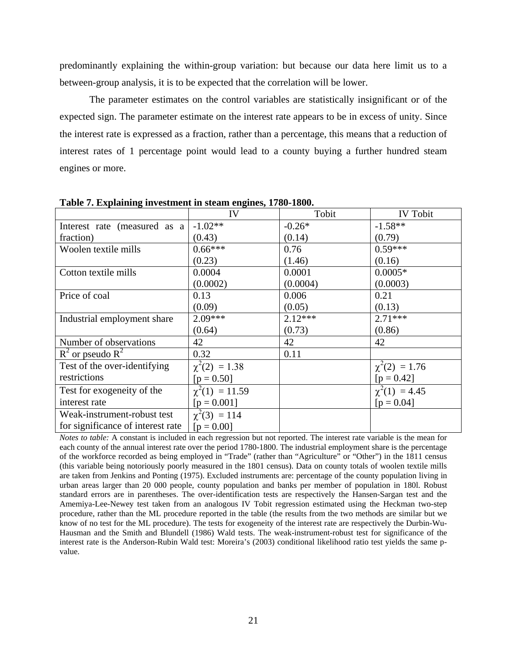predominantly explaining the within-group variation: but because our data here limit us to a between-group analysis, it is to be expected that the correlation will be lower.

 The parameter estimates on the control variables are statistically insignificant or of the expected sign. The parameter estimate on the interest rate appears to be in excess of unity. Since the interest rate is expressed as a fraction, rather than a percentage, this means that a reduction of interest rates of 1 percentage point would lead to a county buying a further hundred steam engines or more.

|                                   | IV                  | Tobit     | <b>IV Tobit</b>    |
|-----------------------------------|---------------------|-----------|--------------------|
| Interest rate (measured as a      | $-1.02**$           | $-0.26*$  | $-1.58**$          |
| fraction)                         | (0.43)              | (0.14)    | (0.79)             |
| Woolen textile mills              | $0.66***$           | 0.76      | $0.59***$          |
|                                   | (0.23)              | (1.46)    | (0.16)             |
| Cotton textile mills              | 0.0004              | 0.0001    | $0.0005*$          |
|                                   | (0.0002)            | (0.0004)  | (0.0003)           |
| Price of coal                     | 0.13                | 0.006     | 0.21               |
|                                   | (0.09)              | (0.05)    | (0.13)             |
| Industrial employment share       | $2.09***$           | $2.12***$ | $2.71***$          |
|                                   | (0.64)              | (0.73)    | (0.86)             |
| Number of observations            | 42                  | 42        | 42                 |
| $R^2$ or pseudo $R^2$             | 0.32                | 0.11      |                    |
| Test of the over-identifying      | $\chi^2(2) = 1.38$  |           | $\chi^2(2) = 1.76$ |
| restrictions                      | $[p = 0.50]$        |           | $[p = 0.42]$       |
| Test for exogeneity of the        | $\chi^2(1) = 11.59$ |           | $\chi^2(1) = 4.45$ |
| interest rate                     | $[p = 0.001]$       |           | $[p = 0.04]$       |
| Weak-instrument-robust test       | $\chi^2(3) = 114$   |           |                    |
| for significance of interest rate | $[p = 0.00]$        |           |                    |

**Table 7. Explaining investment in steam engines, 1780-1800.** 

*Notes to table:* A constant is included in each regression but not reported. The interest rate variable is the mean for each county of the annual interest rate over the period 1780-1800. The industrial employment share is the percentage of the workforce recorded as being employed in "Trade" (rather than "Agriculture" or "Other") in the 1811 census (this variable being notoriously poorly measured in the 1801 census). Data on county totals of woolen textile mills are taken from Jenkins and Ponting (1975). Excluded instruments are: percentage of the county population living in urban areas larger than 20 000 people, county population and banks per member of population in 180l. Robust standard errors are in parentheses. The over-identification tests are respectively the Hansen-Sargan test and the Amemiya-Lee-Newey test taken from an analogous IV Tobit regression estimated using the Heckman two-step procedure, rather than the ML procedure reported in the table (the results from the two methods are similar but we know of no test for the ML procedure). The tests for exogeneity of the interest rate are respectively the Durbin-Wu-Hausman and the Smith and Blundell (1986) Wald tests. The weak-instrument-robust test for significance of the interest rate is the Anderson-Rubin Wald test: Moreira's (2003) conditional likelihood ratio test yields the same pvalue.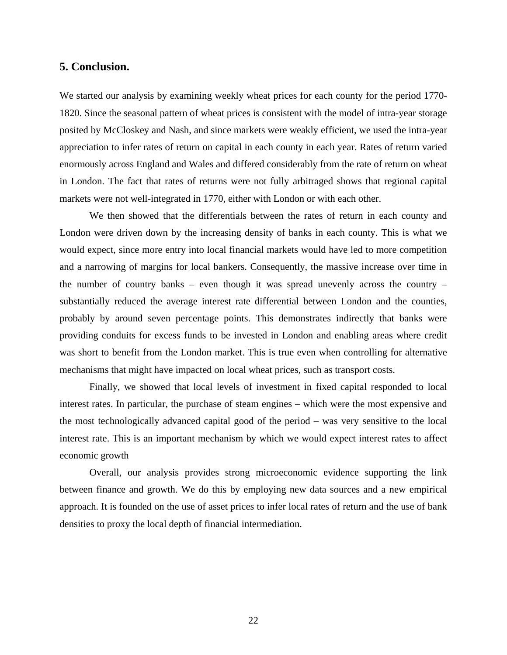### **5. Conclusion.**

We started our analysis by examining weekly wheat prices for each county for the period 1770- 1820. Since the seasonal pattern of wheat prices is consistent with the model of intra-year storage posited by McCloskey and Nash, and since markets were weakly efficient, we used the intra-year appreciation to infer rates of return on capital in each county in each year. Rates of return varied enormously across England and Wales and differed considerably from the rate of return on wheat in London. The fact that rates of returns were not fully arbitraged shows that regional capital markets were not well-integrated in 1770, either with London or with each other.

We then showed that the differentials between the rates of return in each county and London were driven down by the increasing density of banks in each county. This is what we would expect, since more entry into local financial markets would have led to more competition and a narrowing of margins for local bankers. Consequently, the massive increase over time in the number of country banks – even though it was spread unevenly across the country – substantially reduced the average interest rate differential between London and the counties, probably by around seven percentage points. This demonstrates indirectly that banks were providing conduits for excess funds to be invested in London and enabling areas where credit was short to benefit from the London market. This is true even when controlling for alternative mechanisms that might have impacted on local wheat prices, such as transport costs.

Finally, we showed that local levels of investment in fixed capital responded to local interest rates. In particular, the purchase of steam engines – which were the most expensive and the most technologically advanced capital good of the period – was very sensitive to the local interest rate. This is an important mechanism by which we would expect interest rates to affect economic growth

Overall, our analysis provides strong microeconomic evidence supporting the link between finance and growth. We do this by employing new data sources and a new empirical approach. It is founded on the use of asset prices to infer local rates of return and the use of bank densities to proxy the local depth of financial intermediation.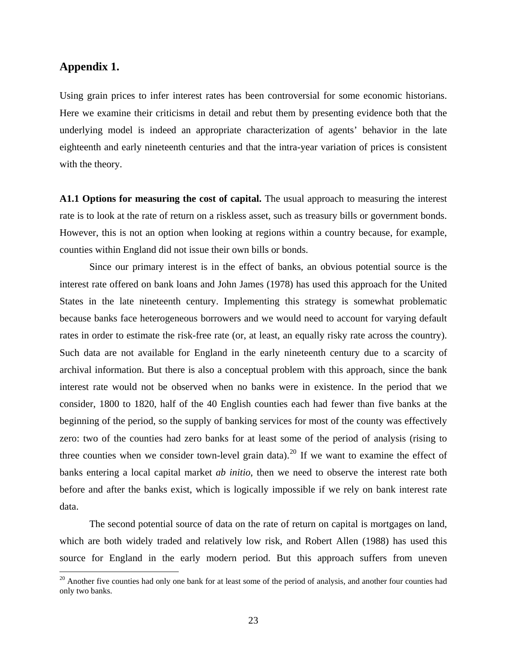## **Appendix 1.**

 $\overline{a}$ 

Using grain prices to infer interest rates has been controversial for some economic historians. Here we examine their criticisms in detail and rebut them by presenting evidence both that the underlying model is indeed an appropriate characterization of agents' behavior in the late eighteenth and early nineteenth centuries and that the intra-year variation of prices is consistent with the theory.

**A1.1 Options for measuring the cost of capital.** The usual approach to measuring the interest rate is to look at the rate of return on a riskless asset, such as treasury bills or government bonds. However, this is not an option when looking at regions within a country because, for example, counties within England did not issue their own bills or bonds.

Since our primary interest is in the effect of banks, an obvious potential source is the interest rate offered on bank loans and John James (1978) has used this approach for the United States in the late nineteenth century. Implementing this strategy is somewhat problematic because banks face heterogeneous borrowers and we would need to account for varying default rates in order to estimate the risk-free rate (or, at least, an equally risky rate across the country). Such data are not available for England in the early nineteenth century due to a scarcity of archival information. But there is also a conceptual problem with this approach, since the bank interest rate would not be observed when no banks were in existence. In the period that we consider, 1800 to 1820, half of the 40 English counties each had fewer than five banks at the beginning of the period, so the supply of banking services for most of the county was effectively zero: two of the counties had zero banks for at least some of the period of analysis (rising to three counties when we consider town-level grain data).<sup>[20](#page-22-0)</sup> If we want to examine the effect of banks entering a local capital market *ab initio*, then we need to observe the interest rate both before and after the banks exist, which is logically impossible if we rely on bank interest rate data.

The second potential source of data on the rate of return on capital is mortgages on land, which are both widely traded and relatively low risk, and Robert Allen (1988) has used this source for England in the early modern period. But this approach suffers from uneven

<span id="page-22-0"></span><sup>&</sup>lt;sup>20</sup> Another five counties had only one bank for at least some of the period of analysis, and another four counties had only two banks.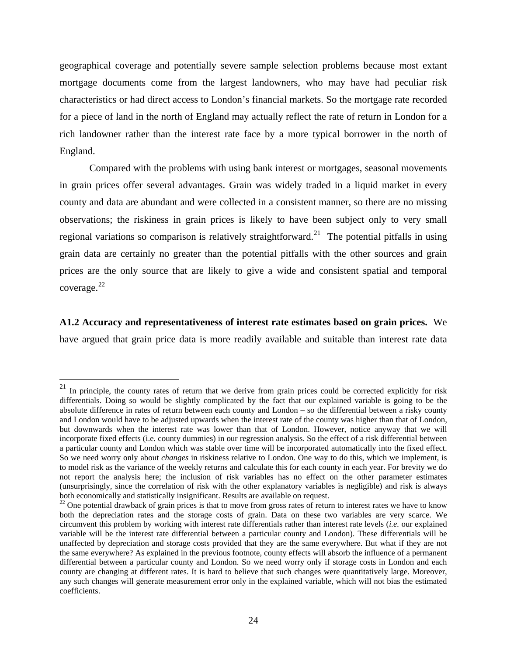geographical coverage and potentially severe sample selection problems because most extant mortgage documents come from the largest landowners, who may have had peculiar risk characteristics or had direct access to London's financial markets. So the mortgage rate recorded for a piece of land in the north of England may actually reflect the rate of return in London for a rich landowner rather than the interest rate face by a more typical borrower in the north of England.

Compared with the problems with using bank interest or mortgages, seasonal movements in grain prices offer several advantages. Grain was widely traded in a liquid market in every county and data are abundant and were collected in a consistent manner, so there are no missing observations; the riskiness in grain prices is likely to have been subject only to very small regional variations so comparison is relatively straightforward.<sup>[21](#page-23-0)</sup> The potential pitfalls in using grain data are certainly no greater than the potential pitfalls with the other sources and grain prices are the only source that are likely to give a wide and consistent spatial and temporal coverage. [22](#page-23-1)

**A1.2 Accuracy and representativeness of interest rate estimates based on grain prices.** We have argued that grain price data is more readily available and suitable than interest rate data

 $\overline{a}$ 

<span id="page-23-0"></span> $^{21}$  In principle, the county rates of return that we derive from grain prices could be corrected explicitly for risk differentials. Doing so would be slightly complicated by the fact that our explained variable is going to be the absolute difference in rates of return between each county and London – so the differential between a risky county and London would have to be adjusted upwards when the interest rate of the county was higher than that of London, but downwards when the interest rate was lower than that of London. However, notice anyway that we will incorporate fixed effects (i.e. county dummies) in our regression analysis. So the effect of a risk differential between a particular county and London which was stable over time will be incorporated automatically into the fixed effect. So we need worry only about *changes* in riskiness relative to London. One way to do this, which we implement, is to model risk as the variance of the weekly returns and calculate this for each county in each year. For brevity we do not report the analysis here; the inclusion of risk variables has no effect on the other parameter estimates (unsurprisingly, since the correlation of risk with the other explanatory variables is negligible) and risk is always both economically and statistically insignificant. Results are available on request.

<span id="page-23-1"></span> $22$  One potential drawback of grain prices is that to move from gross rates of return to interest rates we have to know both the depreciation rates and the storage costs of grain. Data on these two variables are very scarce. We circumvent this problem by working with interest rate differentials rather than interest rate levels (*i.e.* our explained variable will be the interest rate differential between a particular county and London). These differentials will be unaffected by depreciation and storage costs provided that they are the same everywhere. But what if they are not the same everywhere? As explained in the previous footnote, county effects will absorb the influence of a permanent differential between a particular county and London. So we need worry only if storage costs in London and each county are changing at different rates. It is hard to believe that such changes were quantitatively large. Moreover, any such changes will generate measurement error only in the explained variable, which will not bias the estimated coefficients.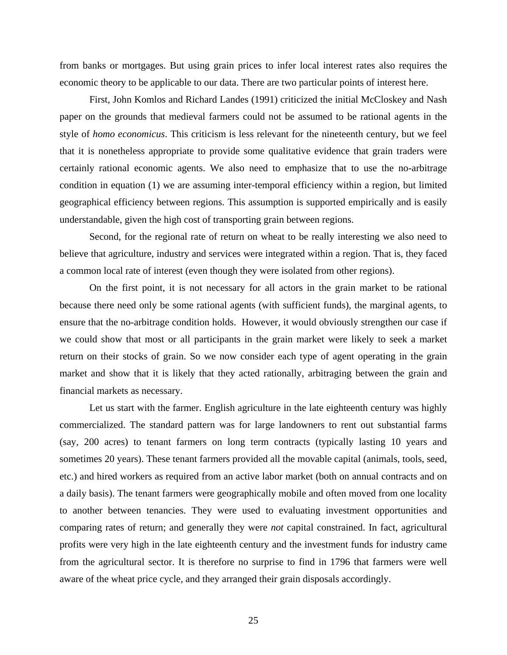from banks or mortgages. But using grain prices to infer local interest rates also requires the economic theory to be applicable to our data. There are two particular points of interest here.

 First, John Komlos and Richard Landes (1991) criticized the initial McCloskey and Nash paper on the grounds that medieval farmers could not be assumed to be rational agents in the style of *homo economicus*. This criticism is less relevant for the nineteenth century, but we feel that it is nonetheless appropriate to provide some qualitative evidence that grain traders were certainly rational economic agents. We also need to emphasize that to use the no-arbitrage condition in equation (1) we are assuming inter-temporal efficiency within a region, but limited geographical efficiency between regions. This assumption is supported empirically and is easily understandable, given the high cost of transporting grain between regions.

 Second, for the regional rate of return on wheat to be really interesting we also need to believe that agriculture, industry and services were integrated within a region. That is, they faced a common local rate of interest (even though they were isolated from other regions).

On the first point, it is not necessary for all actors in the grain market to be rational because there need only be some rational agents (with sufficient funds), the marginal agents, to ensure that the no-arbitrage condition holds. However, it would obviously strengthen our case if we could show that most or all participants in the grain market were likely to seek a market return on their stocks of grain. So we now consider each type of agent operating in the grain market and show that it is likely that they acted rationally, arbitraging between the grain and financial markets as necessary.

 Let us start with the farmer. English agriculture in the late eighteenth century was highly commercialized. The standard pattern was for large landowners to rent out substantial farms (say, 200 acres) to tenant farmers on long term contracts (typically lasting 10 years and sometimes 20 years). These tenant farmers provided all the movable capital (animals, tools, seed, etc.) and hired workers as required from an active labor market (both on annual contracts and on a daily basis). The tenant farmers were geographically mobile and often moved from one locality to another between tenancies. They were used to evaluating investment opportunities and comparing rates of return; and generally they were *not* capital constrained. In fact, agricultural profits were very high in the late eighteenth century and the investment funds for industry came from the agricultural sector. It is therefore no surprise to find in 1796 that farmers were well aware of the wheat price cycle, and they arranged their grain disposals accordingly.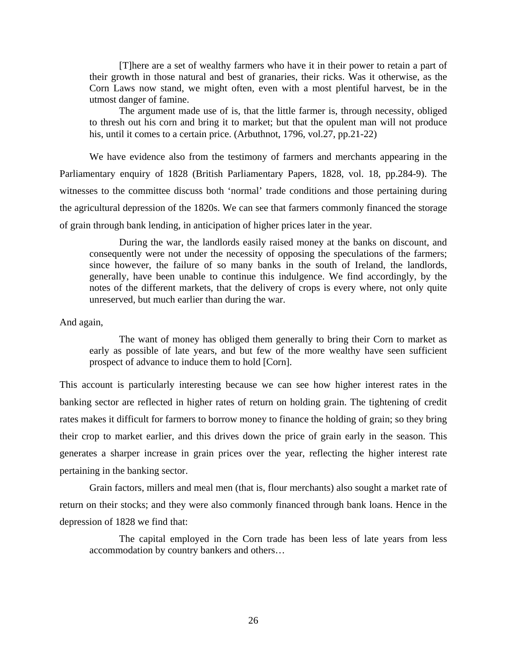[T]here are a set of wealthy farmers who have it in their power to retain a part of their growth in those natural and best of granaries, their ricks. Was it otherwise, as the Corn Laws now stand, we might often, even with a most plentiful harvest, be in the utmost danger of famine.

The argument made use of is, that the little farmer is, through necessity, obliged to thresh out his corn and bring it to market; but that the opulent man will not produce his, until it comes to a certain price. (Arbuthnot, 1796, vol.27, pp.21-22)

We have evidence also from the testimony of farmers and merchants appearing in the Parliamentary enquiry of 1828 (British Parliamentary Papers, 1828, vol. 18, pp.284-9). The witnesses to the committee discuss both 'normal' trade conditions and those pertaining during the agricultural depression of the 1820s. We can see that farmers commonly financed the storage of grain through bank lending, in anticipation of higher prices later in the year.

During the war, the landlords easily raised money at the banks on discount, and consequently were not under the necessity of opposing the speculations of the farmers; since however, the failure of so many banks in the south of Ireland, the landlords, generally, have been unable to continue this indulgence. We find accordingly, by the notes of the different markets, that the delivery of crops is every where, not only quite unreserved, but much earlier than during the war.

And again,

The want of money has obliged them generally to bring their Corn to market as early as possible of late years, and but few of the more wealthy have seen sufficient prospect of advance to induce them to hold [Corn].

This account is particularly interesting because we can see how higher interest rates in the banking sector are reflected in higher rates of return on holding grain. The tightening of credit rates makes it difficult for farmers to borrow money to finance the holding of grain; so they bring their crop to market earlier, and this drives down the price of grain early in the season. This generates a sharper increase in grain prices over the year, reflecting the higher interest rate pertaining in the banking sector.

 Grain factors, millers and meal men (that is, flour merchants) also sought a market rate of return on their stocks; and they were also commonly financed through bank loans. Hence in the depression of 1828 we find that:

The capital employed in the Corn trade has been less of late years from less accommodation by country bankers and others…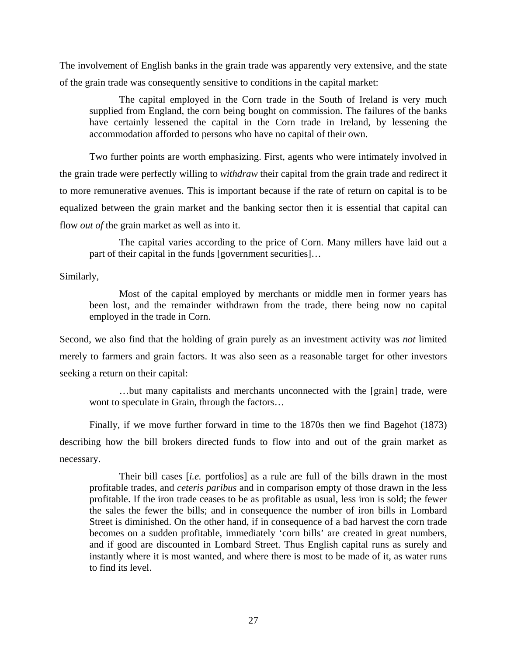The involvement of English banks in the grain trade was apparently very extensive, and the state of the grain trade was consequently sensitive to conditions in the capital market:

The capital employed in the Corn trade in the South of Ireland is very much supplied from England, the corn being bought on commission. The failures of the banks have certainly lessened the capital in the Corn trade in Ireland, by lessening the accommodation afforded to persons who have no capital of their own.

Two further points are worth emphasizing. First, agents who were intimately involved in the grain trade were perfectly willing to *withdraw* their capital from the grain trade and redirect it to more remunerative avenues. This is important because if the rate of return on capital is to be equalized between the grain market and the banking sector then it is essential that capital can flow *out of* the grain market as well as into it.

The capital varies according to the price of Corn. Many millers have laid out a part of their capital in the funds [government securities]…

Similarly,

Most of the capital employed by merchants or middle men in former years has been lost, and the remainder withdrawn from the trade, there being now no capital employed in the trade in Corn.

Second, we also find that the holding of grain purely as an investment activity was *not* limited merely to farmers and grain factors. It was also seen as a reasonable target for other investors seeking a return on their capital:

…but many capitalists and merchants unconnected with the [grain] trade, were wont to speculate in Grain, through the factors…

 Finally, if we move further forward in time to the 1870s then we find Bagehot (1873) describing how the bill brokers directed funds to flow into and out of the grain market as necessary.

Their bill cases [*i.e.* portfolios] as a rule are full of the bills drawn in the most profitable trades, and *ceteris paribus* and in comparison empty of those drawn in the less profitable. If the iron trade ceases to be as profitable as usual, less iron is sold; the fewer the sales the fewer the bills; and in consequence the number of iron bills in Lombard Street is diminished. On the other hand, if in consequence of a bad harvest the corn trade becomes on a sudden profitable, immediately 'corn bills' are created in great numbers, and if good are discounted in Lombard Street. Thus English capital runs as surely and instantly where it is most wanted, and where there is most to be made of it, as water runs to find its level.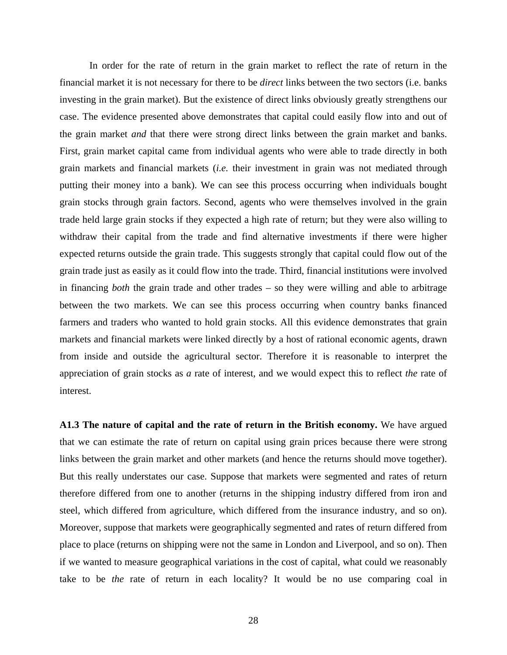In order for the rate of return in the grain market to reflect the rate of return in the financial market it is not necessary for there to be *direct* links between the two sectors (i.e. banks investing in the grain market). But the existence of direct links obviously greatly strengthens our case. The evidence presented above demonstrates that capital could easily flow into and out of the grain market *and* that there were strong direct links between the grain market and banks. First, grain market capital came from individual agents who were able to trade directly in both grain markets and financial markets (*i.e.* their investment in grain was not mediated through putting their money into a bank). We can see this process occurring when individuals bought grain stocks through grain factors. Second, agents who were themselves involved in the grain trade held large grain stocks if they expected a high rate of return; but they were also willing to withdraw their capital from the trade and find alternative investments if there were higher expected returns outside the grain trade. This suggests strongly that capital could flow out of the grain trade just as easily as it could flow into the trade. Third, financial institutions were involved in financing *both* the grain trade and other trades – so they were willing and able to arbitrage between the two markets. We can see this process occurring when country banks financed farmers and traders who wanted to hold grain stocks. All this evidence demonstrates that grain markets and financial markets were linked directly by a host of rational economic agents, drawn from inside and outside the agricultural sector. Therefore it is reasonable to interpret the appreciation of grain stocks as *a* rate of interest, and we would expect this to reflect *the* rate of interest.

**A1.3 The nature of capital and the rate of return in the British economy.** We have argued that we can estimate the rate of return on capital using grain prices because there were strong links between the grain market and other markets (and hence the returns should move together). But this really understates our case. Suppose that markets were segmented and rates of return therefore differed from one to another (returns in the shipping industry differed from iron and steel, which differed from agriculture, which differed from the insurance industry, and so on). Moreover, suppose that markets were geographically segmented and rates of return differed from place to place (returns on shipping were not the same in London and Liverpool, and so on). Then if we wanted to measure geographical variations in the cost of capital, what could we reasonably take to be *the* rate of return in each locality? It would be no use comparing coal in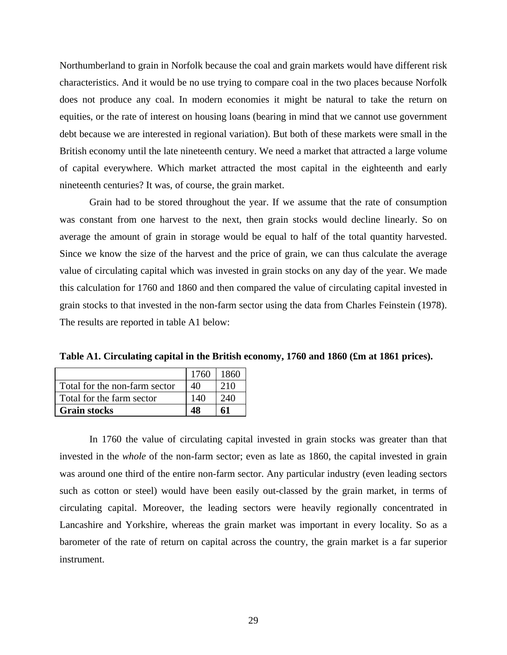Northumberland to grain in Norfolk because the coal and grain markets would have different risk characteristics. And it would be no use trying to compare coal in the two places because Norfolk does not produce any coal. In modern economies it might be natural to take the return on equities, or the rate of interest on housing loans (bearing in mind that we cannot use government debt because we are interested in regional variation). But both of these markets were small in the British economy until the late nineteenth century. We need a market that attracted a large volume of capital everywhere. Which market attracted the most capital in the eighteenth and early nineteenth centuries? It was, of course, the grain market.

Grain had to be stored throughout the year. If we assume that the rate of consumption was constant from one harvest to the next, then grain stocks would decline linearly. So on average the amount of grain in storage would be equal to half of the total quantity harvested. Since we know the size of the harvest and the price of grain, we can thus calculate the average value of circulating capital which was invested in grain stocks on any day of the year. We made this calculation for 1760 and 1860 and then compared the value of circulating capital invested in grain stocks to that invested in the non-farm sector using the data from Charles Feinstein (1978). The results are reported in table A1 below:

**Table A1. Circulating capital in the British economy, 1760 and 1860 (£m at 1861 prices).** 

|                               | 1760 | 1860    |
|-------------------------------|------|---------|
| Total for the non-farm sector |      | 210     |
| Total for the farm sector     |      | $240 -$ |
| <b>Grain stocks</b>           |      |         |

In 1760 the value of circulating capital invested in grain stocks was greater than that invested in the *whole* of the non-farm sector; even as late as 1860, the capital invested in grain was around one third of the entire non-farm sector. Any particular industry (even leading sectors such as cotton or steel) would have been easily out-classed by the grain market, in terms of circulating capital. Moreover, the leading sectors were heavily regionally concentrated in Lancashire and Yorkshire, whereas the grain market was important in every locality. So as a barometer of the rate of return on capital across the country, the grain market is a far superior instrument.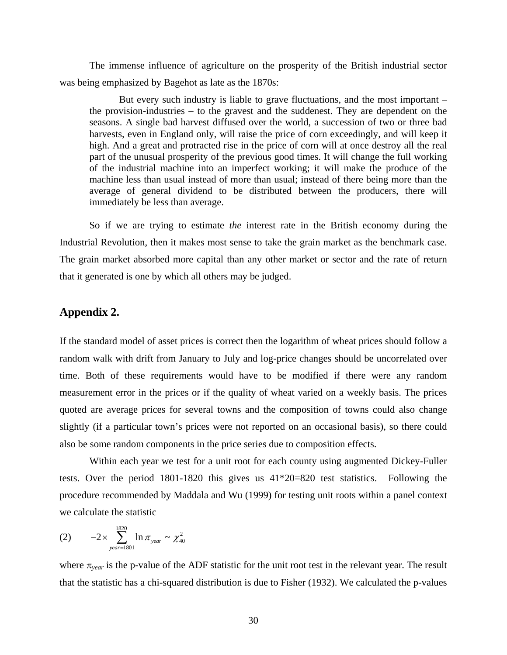The immense influence of agriculture on the prosperity of the British industrial sector was being emphasized by Bagehot as late as the 1870s:

But every such industry is liable to grave fluctuations, and the most important – the provision-industries – to the gravest and the suddenest. They are dependent on the seasons. A single bad harvest diffused over the world, a succession of two or three bad harvests, even in England only, will raise the price of corn exceedingly, and will keep it high. And a great and protracted rise in the price of corn will at once destroy all the real part of the unusual prosperity of the previous good times. It will change the full working of the industrial machine into an imperfect working; it will make the produce of the machine less than usual instead of more than usual; instead of there being more than the average of general dividend to be distributed between the producers, there will immediately be less than average.

 So if we are trying to estimate *the* interest rate in the British economy during the Industrial Revolution, then it makes most sense to take the grain market as the benchmark case. The grain market absorbed more capital than any other market or sector and the rate of return that it generated is one by which all others may be judged.

## **Appendix 2.**

If the standard model of asset prices is correct then the logarithm of wheat prices should follow a random walk with drift from January to July and log-price changes should be uncorrelated over time. Both of these requirements would have to be modified if there were any random measurement error in the prices or if the quality of wheat varied on a weekly basis. The prices quoted are average prices for several towns and the composition of towns could also change slightly (if a particular town's prices were not reported on an occasional basis), so there could also be some random components in the price series due to composition effects.

Within each year we test for a unit root for each county using augmented Dickey-Fuller tests. Over the period 1801-1820 this gives us 41\*20=820 test statistics. Following the procedure recommended by Maddala and Wu (1999) for testing unit roots within a panel context we calculate the statistic

(2) 
$$
-2 \times \sum_{\text{year}=1801}^{1820} \ln \pi_{\text{year}} \sim \chi^2_{40}
$$

where  $\pi_{\text{year}}$  is the p-value of the ADF statistic for the unit root test in the relevant year. The result that the statistic has a chi-squared distribution is due to Fisher (1932). We calculated the p-values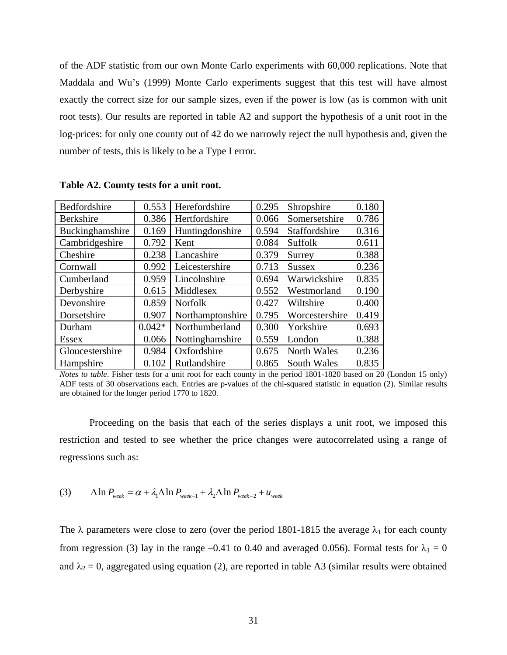of the ADF statistic from our own Monte Carlo experiments with 60,000 replications. Note that Maddala and Wu's (1999) Monte Carlo experiments suggest that this test will have almost exactly the correct size for our sample sizes, even if the power is low (as is common with unit root tests). Our results are reported in table A2 and support the hypothesis of a unit root in the log-prices: for only one county out of 42 do we narrowly reject the null hypothesis and, given the number of tests, this is likely to be a Type I error.

| Bedfordshire     | 0.553    | Herefordshire    | 0.295 | Shropshire         | 0.180 |
|------------------|----------|------------------|-------|--------------------|-------|
| <b>Berkshire</b> | 0.386    | Hertfordshire    | 0.066 | Somersetshire      | 0.786 |
| Buckinghamshire  | 0.169    | Huntingdonshire  | 0.594 | Staffordshire      | 0.316 |
| Cambridgeshire   | 0.792    | Kent             | 0.084 | Suffolk            | 0.611 |
| Cheshire         | 0.238    | Lancashire       | 0.379 | Surrey             | 0.388 |
| Cornwall         | 0.992    | Leicestershire   | 0.713 | <b>Sussex</b>      | 0.236 |
| Cumberland       | 0.959    | Lincolnshire     | 0.694 | Warwickshire       | 0.835 |
| Derbyshire       | 0.615    | Middlesex        | 0.552 | Westmorland        | 0.190 |
| Devonshire       | 0.859    | <b>Norfolk</b>   | 0.427 | Wiltshire          | 0.400 |
| Dorsetshire      | 0.907    | Northamptonshire | 0.795 | Worcestershire     | 0.419 |
| Durham           | $0.042*$ | Northumberland   | 0.300 | Yorkshire          | 0.693 |
| <b>Essex</b>     | 0.066    | Nottinghamshire  | 0.559 | London             | 0.388 |
| Gloucestershire  | 0.984    | Oxfordshire      | 0.675 | North Wales        | 0.236 |
| Hampshire        | 0.102    | Rutlandshire     | 0.865 | <b>South Wales</b> | 0.835 |

**Table A2. County tests for a unit root.** 

*Notes to table*. Fisher tests for a unit root for each county in the period 1801-1820 based on 20 (London 15 only) ADF tests of 30 observations each. Entries are p-values of the chi-squared statistic in equation (2). Similar results are obtained for the longer period 1770 to 1820.

Proceeding on the basis that each of the series displays a unit root, we imposed this restriction and tested to see whether the price changes were autocorrelated using a range of regressions such as:

(3) 
$$
\Delta \ln P_{week} = \alpha + \lambda_1 \Delta \ln P_{week-1} + \lambda_2 \Delta \ln P_{week-2} + u_{week}
$$

The  $\lambda$  parameters were close to zero (over the period 1801-1815 the average  $\lambda_1$  for each county from regression (3) lay in the range –0.41 to 0.40 and averaged 0.056). Formal tests for  $\lambda_1 = 0$ and  $\lambda_2 = 0$ , aggregated using equation (2), are reported in table A3 (similar results were obtained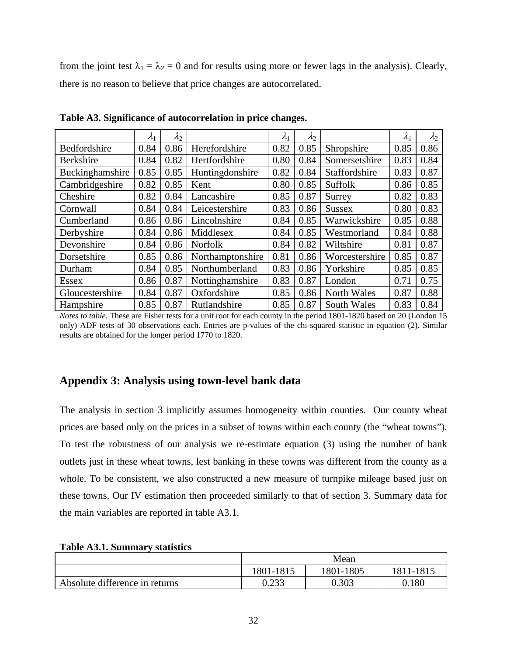from the joint test  $\lambda_1 = \lambda_2 = 0$  and for results using more or fewer lags in the analysis). Clearly, there is no reason to believe that price changes are autocorrelated.

|                  | $\lambda_1$ | $\lambda_2$ |                  | $\lambda_1$ | $\lambda_2$ |                | $\lambda_1$ | $\lambda_2$ |
|------------------|-------------|-------------|------------------|-------------|-------------|----------------|-------------|-------------|
| Bedfordshire     | 0.84        | 0.86        | Herefordshire    | 0.82        | 0.85        | Shropshire     | 0.85        | 0.86        |
| <b>Berkshire</b> | 0.84        | 0.82        | Hertfordshire    | 0.80        | 0.84        | Somersetshire  | 0.83        | 0.84        |
| Buckinghamshire  | 0.85        | 0.85        | Huntingdonshire  | 0.82        | 0.84        | Staffordshire  | 0.83        | 0.87        |
| Cambridgeshire   | 0.82        | 0.85        | Kent             | 0.80        | 0.85        | Suffolk        | 0.86        | 0.85        |
| Cheshire         | 0.82        | 0.84        | Lancashire       | 0.85        | 0.87        | Surrey         | 0.82        | 0.83        |
| Cornwall         | 0.84        | 0.84        | Leicestershire   | 0.83        | 0.86        | <b>Sussex</b>  | 0.80        | 0.83        |
| Cumberland       | 0.86        | 0.86        | Lincolnshire     | 0.84        | 0.85        | Warwickshire   | 0.85        | 0.88        |
| Derbyshire       | 0.84        | 0.86        | Middlesex        | 0.84        | 0.85        | Westmorland    | 0.84        | 0.88        |
| Devonshire       | 0.84        | 0.86        | <b>Norfolk</b>   | 0.84        | 0.82        | Wiltshire      | 0.81        | 0.87        |
| Dorsetshire      | 0.85        | 0.86        | Northamptonshire | 0.81        | 0.86        | Worcestershire | 0.85        | 0.87        |
| Durham           | 0.84        | 0.85        | Northumberland   | 0.83        | 0.86        | Yorkshire      | 0.85        | 0.85        |
| <b>Essex</b>     | 0.86        | 0.87        | Nottinghamshire  | 0.83        | 0.87        | London         | 0.71        | 0.75        |
| Gloucestershire  | 0.84        | 0.87        | Oxfordshire      | 0.85        | 0.86        | North Wales    | 0.87        | 0.88        |
| Hampshire        | 0.85        | 0.87        | Rutlandshire     | 0.85        | 0.87        | South Wales    | 0.83        | 0.84        |

**Table A3. Significance of autocorrelation in price changes.** 

*Notes to table*. These are Fisher tests for a unit root for each county in the period 1801-1820 based on 20 (London 15 only) ADF tests of 30 observations each. Entries are p-values of the chi-squared statistic in equation (2). Similar results are obtained for the longer period 1770 to 1820.

## **Appendix 3: Analysis using town-level bank data**

The analysis in section 3 implicitly assumes homogeneity within counties. Our county wheat prices are based only on the prices in a subset of towns within each county (the "wheat towns"). To test the robustness of our analysis we re-estimate equation (3) using the number of bank outlets just in these wheat towns, lest banking in these towns was different from the county as a whole. To be consistent, we also constructed a new measure of turnpike mileage based just on these towns. Our IV estimation then proceeded similarly to that of section 3. Summary data for the main variables are reported in table A3.1.

|                                | Mean                                |       |       |  |  |
|--------------------------------|-------------------------------------|-------|-------|--|--|
|                                | 1801-1805<br>1811-1815<br>1801-1815 |       |       |  |  |
| Absolute difference in returns | 0.233                               | 0.303 | 0.180 |  |  |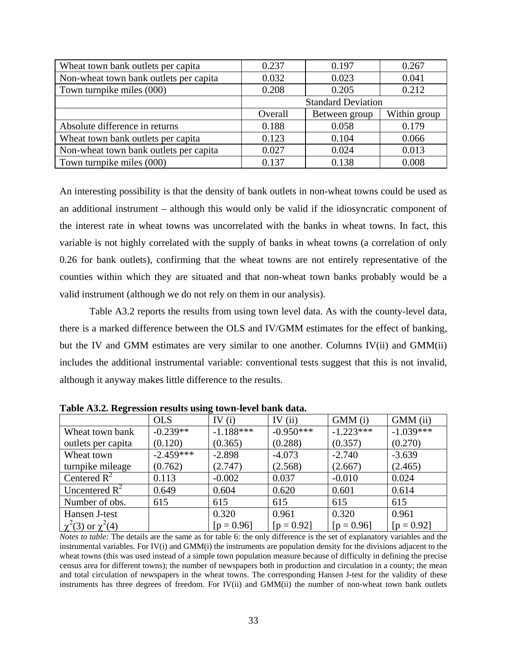| Wheat town bank outlets per capita     | 0.237                     | 0.197         | 0.267        |  |  |
|----------------------------------------|---------------------------|---------------|--------------|--|--|
| Non-wheat town bank outlets per capita | 0.032                     | 0.023         | 0.041        |  |  |
| Town turnpike miles (000)              | 0.208                     | 0.205         | 0.212        |  |  |
|                                        | <b>Standard Deviation</b> |               |              |  |  |
|                                        | Overall                   | Between group | Within group |  |  |
| Absolute difference in returns         | 0.188                     | 0.058         | 0.179        |  |  |
| Wheat town bank outlets per capita     | 0.123                     | 0.104         | 0.066        |  |  |
| Non-wheat town bank outlets per capita | 0.027                     | 0.024         | 0.013        |  |  |
| Town turnpike miles (000)              | 0.137                     | 0.138         | 0.008        |  |  |

An interesting possibility is that the density of bank outlets in non-wheat towns could be used as an additional instrument – although this would only be valid if the idiosyncratic component of the interest rate in wheat towns was uncorrelated with the banks in wheat towns. In fact, this variable is not highly correlated with the supply of banks in wheat towns (a correlation of only 0.26 for bank outlets), confirming that the wheat towns are not entirely representative of the counties within which they are situated and that non-wheat town banks probably would be a valid instrument (although we do not rely on them in our analysis).

Table A3.2 reports the results from using town level data. As with the county-level data, there is a marked difference between the OLS and IV/GMM estimates for the effect of banking, but the IV and GMM estimates are very similar to one another. Columns IV(ii) and GMM(ii) includes the additional instrumental variable: conventional tests suggest that this is not invalid, although it anyway makes little difference to the results.

|                            | <b>OLS</b>  | IV $(i)$     | IV $(ii)$    | GMM (i)      | GMM (ii)     |
|----------------------------|-------------|--------------|--------------|--------------|--------------|
| Wheat town bank            | $-0.239**$  | $-1.188***$  | $-0.950***$  | $-1.223***$  | $-1.039***$  |
| outlets per capita         | (0.120)     | (0.365)      | (0.288)      | (0.357)      | (0.270)      |
| Wheat town                 | $-2.459***$ | $-2.898$     | $-4.073$     | $-2.740$     | $-3.639$     |
| turnpike mileage           | (0.762)     | (2.747)      | (2.568)      | (2.667)      | (2.465)      |
| Centered $R^2$             | 0.113       | $-0.002$     | 0.037        | $-0.010$     | 0.024        |
| Uncentered $R^2$           | 0.649       | 0.604        | 0.620        | 0.601        | 0.614        |
| Number of obs.             | 615         | 615          | 615          | 615          | 615          |
| Hansen J-test              |             | 0.320        | 0.961        | 0.320        | 0.961        |
| $\chi^2(3)$ or $\chi^2(4)$ |             | $[p = 0.96]$ | $[p = 0.92]$ | $[p = 0.96]$ | $[p = 0.92]$ |

**Table A3.2. Regression results using town-level bank data.** 

*Notes to table:* The details are the same as for table 6: the only difference is the set of explanatory variables and the instrumental variables. For IV(i) and GMM(i) the instruments are population density for the divisions adjacent to the wheat towns (this was used instead of a simple town population measure because of difficulty in defining the precise census area for different towns); the number of newspapers both in production and circulation in a county; the mean and total circulation of newspapers in the wheat towns. The corresponding Hansen J-test for the validity of these instruments has three degrees of freedom. For IV(ii) and GMM(ii) the number of non-wheat town bank outlets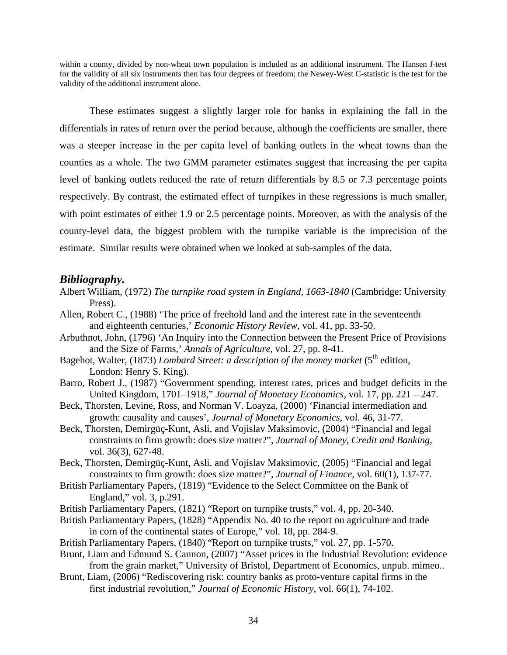within a county, divided by non-wheat town population is included as an additional instrument. The Hansen J-test for the validity of all six instruments then has four degrees of freedom; the Newey-West C-statistic is the test for the validity of the additional instrument alone.

These estimates suggest a slightly larger role for banks in explaining the fall in the differentials in rates of return over the period because, although the coefficients are smaller, there was a steeper increase in the per capita level of banking outlets in the wheat towns than the counties as a whole. The two GMM parameter estimates suggest that increasing the per capita level of banking outlets reduced the rate of return differentials by 8.5 or 7.3 percentage points respectively. By contrast, the estimated effect of turnpikes in these regressions is much smaller, with point estimates of either 1.9 or 2.5 percentage points. Moreover, as with the analysis of the county-level data, the biggest problem with the turnpike variable is the imprecision of the estimate. Similar results were obtained when we looked at sub-samples of the data.

## *Bibliography.*

- Albert William, (1972) *The turnpike road system in England, 1663-1840* (Cambridge: University Press).
- Allen, Robert C., (1988) 'The price of freehold land and the interest rate in the seventeenth and eighteenth centuries,' *Economic History Review*, vol. 41, pp. 33-50.
- Arbuthnot, John, (1796) 'An Inquiry into the Connection between the Present Price of Provisions and the Size of Farms,' *Annals of Agriculture*, vol. 27, pp. 8-41.
- Bagehot, Walter, (1873) *Lombard Street: a description of the money market* (5<sup>th</sup> edition, London: Henry S. King).
- Barro, Robert J., (1987) "Government spending, interest rates, prices and budget deficits in the United Kingdom, 1701–1918," *Journal of Monetary Economics*, vol. 17, pp. 221 – 247.
- Beck, Thorsten, Levine, Ross, and Norman V. Loayza, (2000) 'Financial intermediation and growth: causality and causes', *Journal of Monetary Economics*, vol. 46, 31-77.
- Beck, Thorsten, Demirgüç-Kunt, Asli, and Vojislav Maksimovic, (2004) "Financial and legal constraints to firm growth: does size matter?", *Journal of Money, Credit and Banking*, vol. 36(3), 627-48.
- Beck, Thorsten, Demirgüç-Kunt, Asli, and Vojislav Maksimovic, (2005) "Financial and legal constraints to firm growth: does size matter?", *Journal of Finance*, vol. 60(1), 137-77.
- British Parliamentary Papers, (1819) "Evidence to the Select Committee on the Bank of England," vol. 3, p.291.
- British Parliamentary Papers, (1821) "Report on turnpike trusts," vol. 4, pp. 20-340.
- British Parliamentary Papers, (1828) "Appendix No. 40 to the report on agriculture and trade in corn of the continental states of Europe," vol. 18, pp. 284-9.
- British Parliamentary Papers, (1840) "Report on turnpike trusts," vol. 27, pp. 1-570.
- Brunt, Liam and Edmund S. Cannon, (2007) "Asset prices in the Industrial Revolution: evidence from the grain market," University of Bristol, Department of Economics, unpub. mimeo..
- Brunt, Liam, (2006) "Rediscovering risk: country banks as proto-venture capital firms in the first industrial revolution," *Journal of Economic History*, vol. 66(1), 74-102.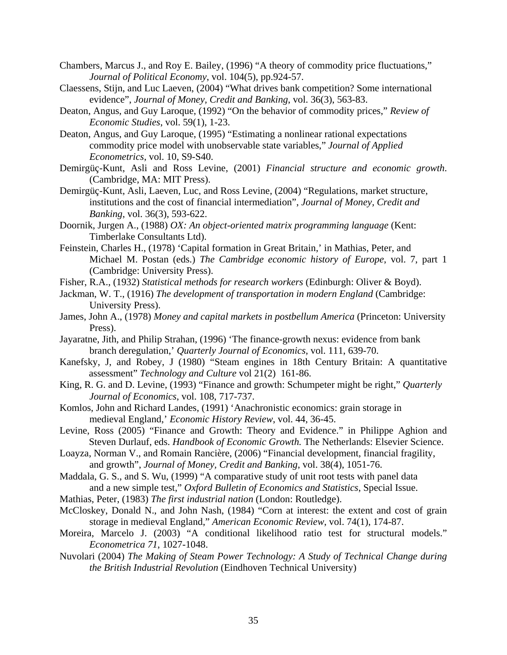- Chambers, Marcus J., and Roy E. Bailey, (1996) "A theory of commodity price fluctuations," *Journal of Political Economy*, vol. 104(5), pp.924-57.
- Claessens, Stijn, and Luc Laeven, (2004) "What drives bank competition? Some international evidence", *Journal of Money, Credit and Banking*, vol. 36(3), 563-83.
- Deaton, Angus, and Guy Laroque, (1992) "On the behavior of commodity prices," *Review of Economic Studies*, vol. 59(1), 1-23.
- Deaton, Angus, and Guy Laroque, (1995) "Estimating a nonlinear rational expectations commodity price model with unobservable state variables," *Journal of Applied Econometrics*, vol. 10, S9-S40.
- Demirgüç-Kunt, Asli and Ross Levine, (2001) *Financial structure and economic growth*. (Cambridge, MA: MIT Press).
- Demirgüç-Kunt, Asli, Laeven, Luc, and Ross Levine, (2004) "Regulations, market structure, institutions and the cost of financial intermediation", *Journal of Money, Credit and Banking*, vol. 36(3), 593-622.

Doornik, Jurgen A., (1988) *OX: An object-oriented matrix programming language* (Kent: Timberlake Consultants Ltd).

- Feinstein, Charles H., (1978) 'Capital formation in Great Britain,' in Mathias, Peter, and Michael M. Postan (eds.) *The Cambridge economic history of Europe*, vol. 7, part 1 (Cambridge: University Press).
- Fisher, R.A., (1932) *Statistical methods for research workers* (Edinburgh: Oliver & Boyd).
- Jackman, W. T., (1916) *The development of transportation in modern England* (Cambridge: University Press).
- James, John A., (1978) *Money and capital markets in postbellum America* (Princeton: University Press).
- Jayaratne, Jith, and Philip Strahan, (1996) 'The finance-growth nexus: evidence from bank branch deregulation,' *Quarterly Journal of Economics*, vol. 111, 639-70.
- Kanefsky, J, and Robey, J (1980) "Steam engines in 18th Century Britain: A quantitative assessment" *Technology and Culture* vol 21(2)161-86.
- King, R. G. and D. Levine, (1993) "Finance and growth: Schumpeter might be right," *Quarterly Journal of Economics*, vol. 108, 717-737.
- Komlos, John and Richard Landes, (1991) 'Anachronistic economics: grain storage in medieval England,' *Economic History Review*, vol. 44, 36-45.
- Levine, Ross (2005) "Finance and Growth: Theory and Evidence." in Philippe Aghion and Steven Durlauf, eds. *Handbook of Economic Growth.* The Netherlands: Elsevier Science.
- Loayza, Norman V., and Romain Rancière, (2006) "Financial development, financial fragility, and growth", *Journal of Money, Credit and Banking*, vol. 38(4), 1051-76.
- Maddala, G. S., and S. Wu, (1999) "A comparative study of unit root tests with panel data and a new simple test," *Oxford Bulletin of Economics and Statistics*, Special Issue.
- Mathias, Peter, (1983) *The first industrial nation* (London: Routledge).
- McCloskey, Donald N., and John Nash, (1984) "Corn at interest: the extent and cost of grain storage in medieval England," *American Economic Review*, vol. 74(1), 174-87.
- Moreira, Marcelo J. (2003) "A conditional likelihood ratio test for structural models." *Econometrica 71*, 1027-1048.
- Nuvolari (2004) *The Making of Steam Power Technology: A Study of Technical Change during the British Industrial Revolution* (Eindhoven Technical University)